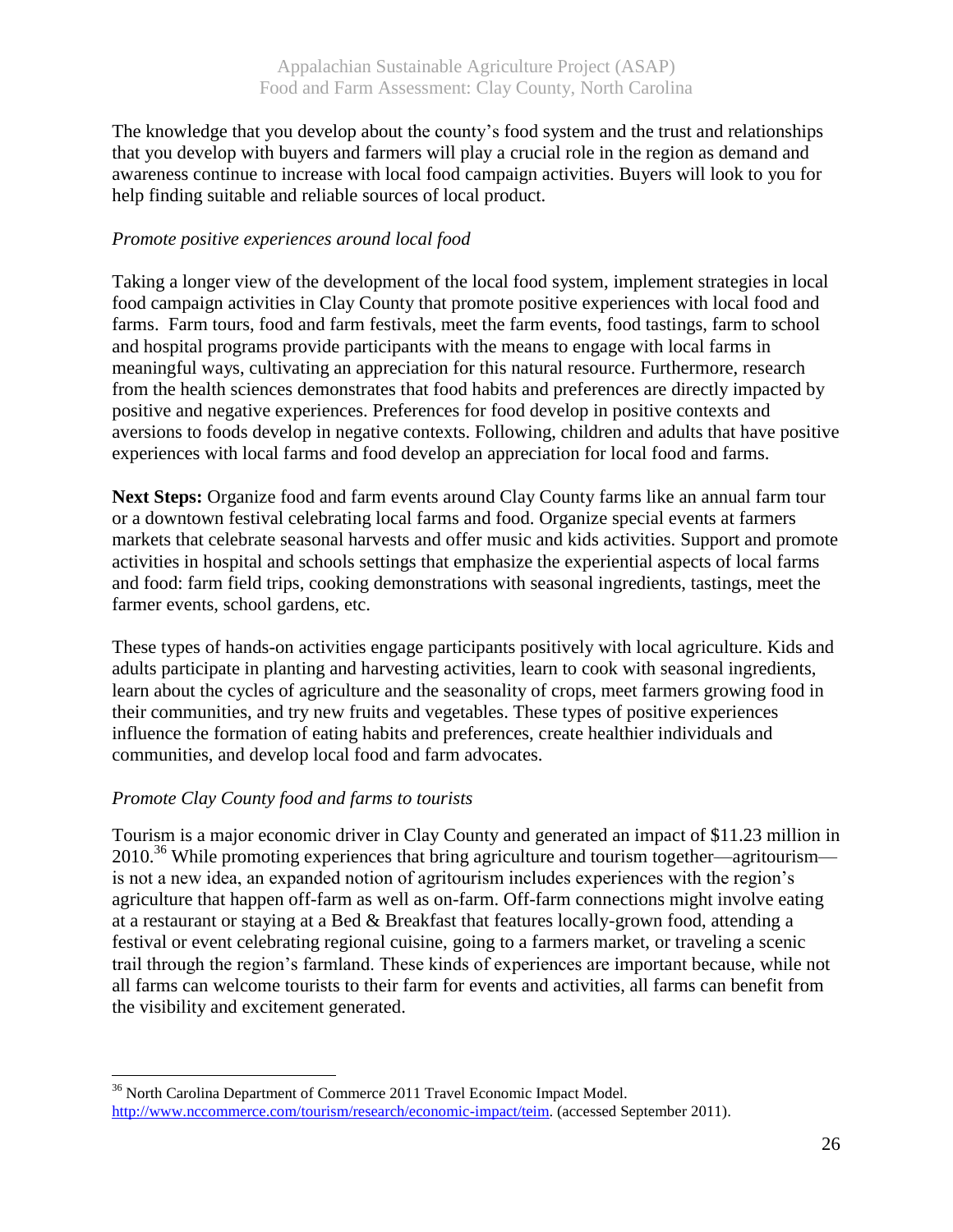

# **Food and Farm Assessment: Clay County, North Carolina**

| Prepared for: Clay County Soil & Water Conservation District |
|--------------------------------------------------------------|
| Clay County Small Farms Initiative                           |
|                                                              |

By: Appalachian Sustainable Agriculture Project (ASAP) Charlie Jackson and Allison Perrett 306 West Haywood Street Asheville, NC 28801

September 14, 2011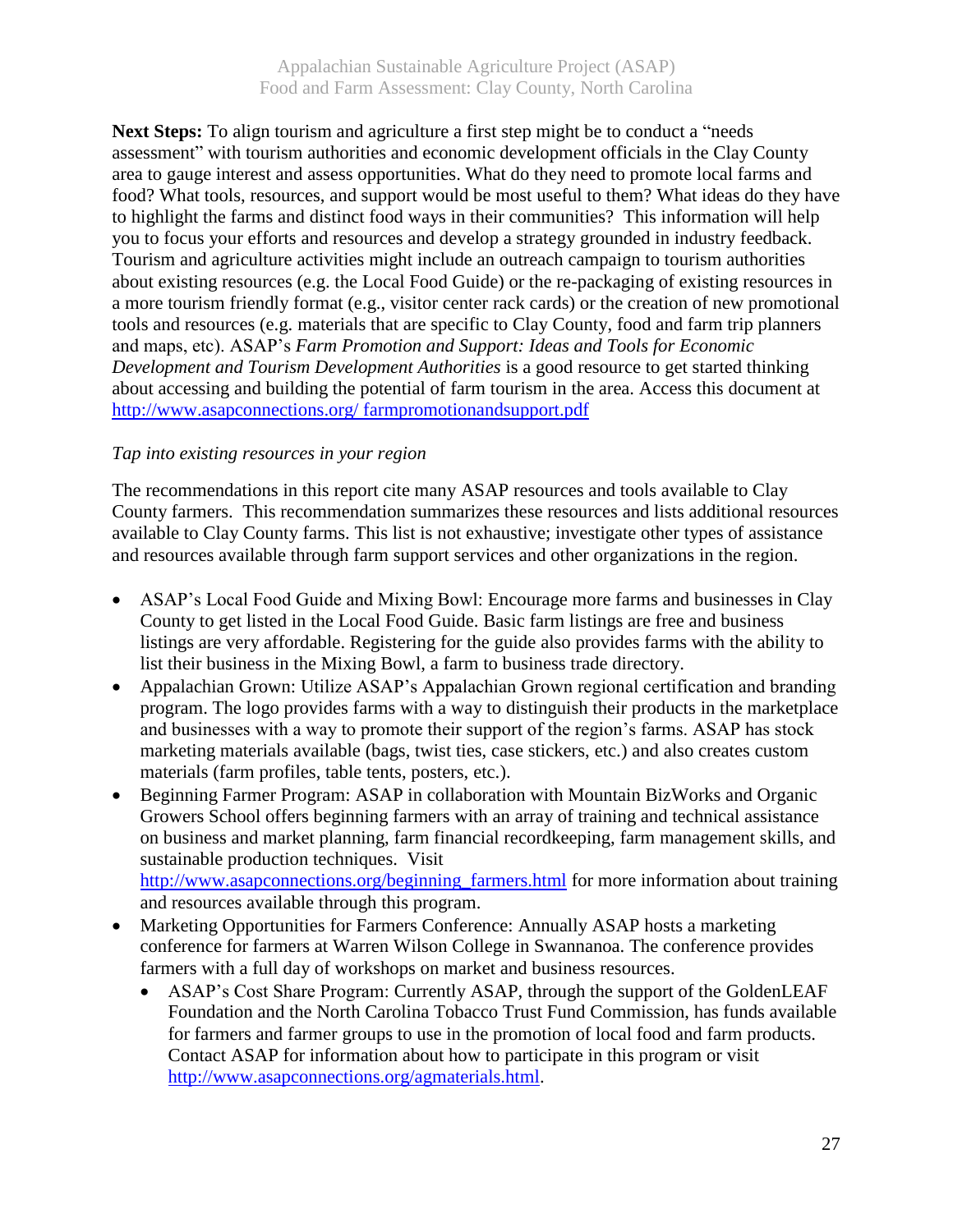| <b>List of Tables and Figures</b>                                                                                                                                                                                    | 3                |
|----------------------------------------------------------------------------------------------------------------------------------------------------------------------------------------------------------------------|------------------|
| <b>Introduction</b>                                                                                                                                                                                                  |                  |
| 1. The Clay County Food and Farm Economy                                                                                                                                                                             | 5                |
| <b>SECTION 1. Cash Receipts from Farming</b>                                                                                                                                                                         | 5                |
| 2. Trends in Farming and Farmland                                                                                                                                                                                    | 7                |
| <b>SECTION 1. Decline in Farms and Acres of Farmland</b><br>SECTION 2. Aging of the Farm Population<br>SECTION 3. The Tobacco Buyout and Related Shifts in Production<br>SECTION 4. Consolidation of the Food System | 7<br>8<br>9<br>9 |
| <b>3. Economic Considerations</b>                                                                                                                                                                                    | 10               |
| 4. Opportunities in the Local Market for Locally-Grown Food                                                                                                                                                          | 12               |
| <b>5. Consumer Food Spending and Consumption Figures</b>                                                                                                                                                             | 13               |
| <b>SECTION 1. Market Demographics</b><br><b>SECTION 2. Consumer Food Spending</b><br><b>SECTION 3. Consumption Figures</b>                                                                                           | 13<br>13<br>14   |
| <b>6. Clay County Consumer Preferences for Local</b>                                                                                                                                                                 | 17               |
| <b>7. Local Production</b>                                                                                                                                                                                           | 18               |
| SECTION 1. Summary of Local Market Potential for Locally-Grown Foods                                                                                                                                                 | 19               |
| 8. Bridging the Gap between Demand and Supply                                                                                                                                                                        | 21               |
| <b>SECTION 1. Recommendations</b>                                                                                                                                                                                    | 22               |
| Appendix A: Nonprofits and Farm Support Services for Farmers in WNC                                                                                                                                                  |                  |
| Appendix B: Clay County Report. A survey of consumer behavior and perceptions concerning<br>locally grown food                                                                                                       |                  |
| <b>Appendix C: Clay County Business Survey Summary</b>                                                                                                                                                               |                  |

# **TABLE OF CONTENTS**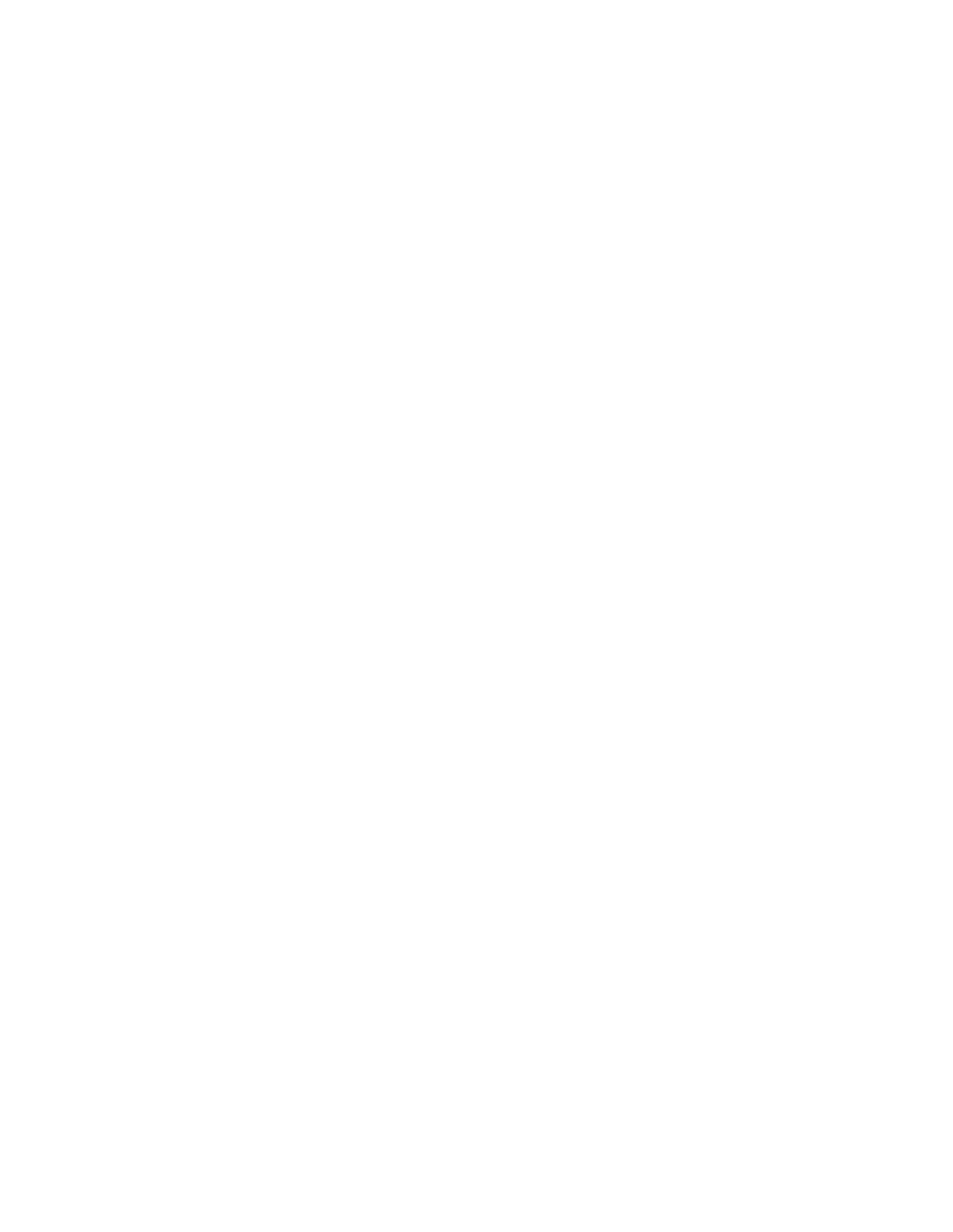# **List of Tables and Figures:**

#### Tables:

| Table 1: Number of Farms by Size in the Clay County, Four-county, and Six-county      |  |
|---------------------------------------------------------------------------------------|--|
|                                                                                       |  |
| Table 2: Market Value of Agricultural Products Sold for Clay County, Four-county, and |  |
|                                                                                       |  |
|                                                                                       |  |
|                                                                                       |  |
| Table 5: Comparison of Consumption and Production of Selected Fresh Fruits and        |  |
|                                                                                       |  |
| Table 6: Consumption of Selected Categories of Processed Fruits and Vegetables in the |  |
|                                                                                       |  |
| Table 7: Comparison of Consumption and Production in the Six-county Area of           |  |
|                                                                                       |  |
| Table 8: Consumption and Production of Dairy Products in the Six-county Area17        |  |
| Table 9: Dollar Share of Retail Produce Sales for Selected Fruits and Vegetable19     |  |
|                                                                                       |  |
|                                                                                       |  |

# Figures:

Figure 1: Farm Profitability in the Six-county Area (2007) Farm Dollars…………........10 Figure 2: Farm Profitability in the Six-county Area (2007) Number of Farms………….11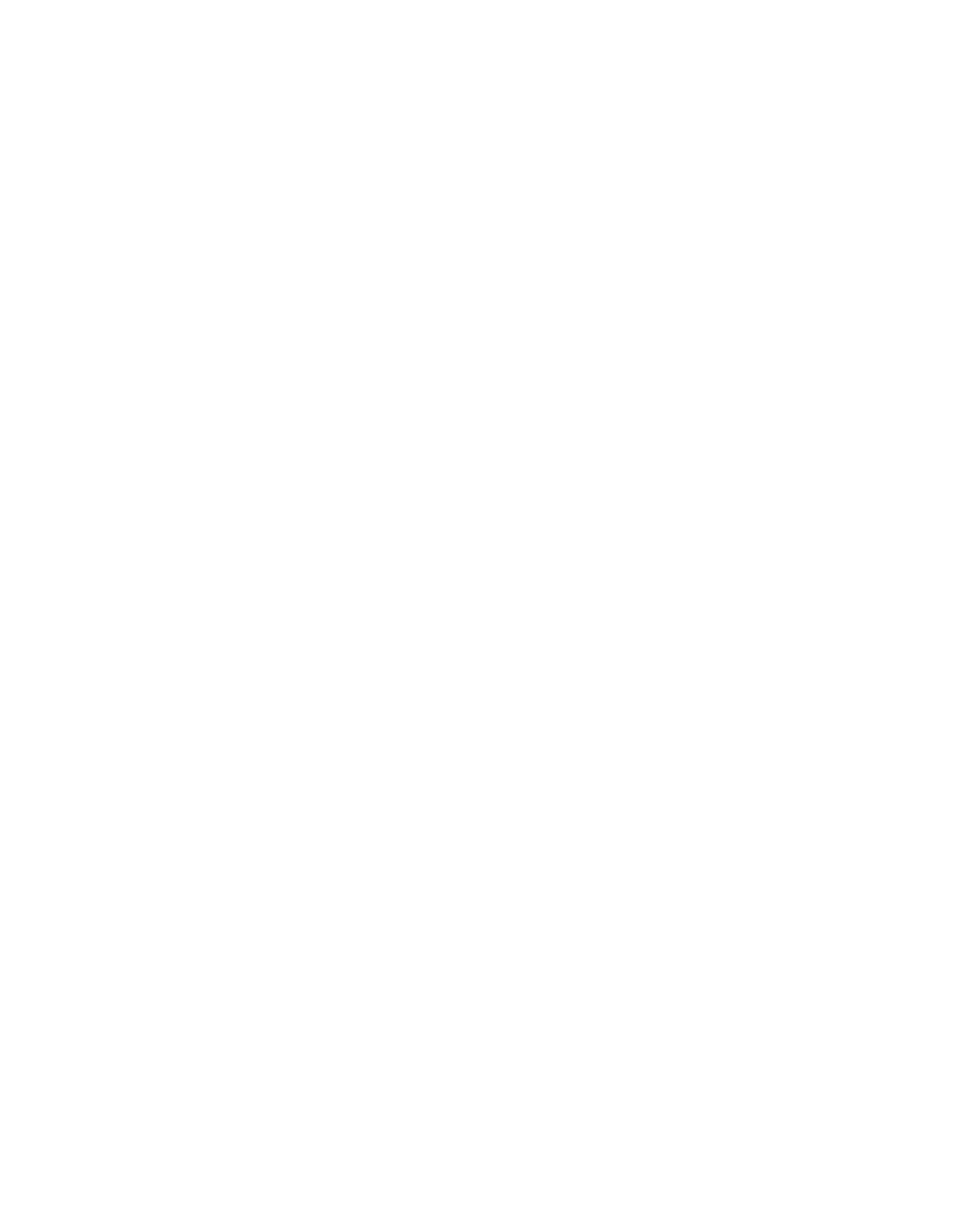#### **Introduction**

This report provides the results of research conducted by Appalachian Sustainable Agriculture Project (ASAP) for the Clay County Small Farms Initiative in Clay County, North Carolina. The purpose of the research is to: (1) explore what food and farm products are currently produced in the region; (2) examine how much of what is produced is also consumed in the region; (3) consider the potential impacts of increased purchasing of locally-produced food and farm products; and (4) identify points where investment of resources or other actions could support local farms and local food. This report presents a wide-ranging collection of information on the region's food and farm economy which can form the basis for future efforts to expand local markets for local farm products.

Report findings are based on the analysis of secondary data and published statistics from the USDA 2007 Census of Agriculture, the US Census Bureau, other relevant data sources, and on the results of surveys conducted by ASAP in 2011 with businesses and residents in Clay County and the region. The report summarizes agricultural statistics for Clay County, a four-county area that includes Clay and Cherokee in North Carolina and Towns and Union in Georgia, and a sixcounty area that includes the four-county area plus Macon and Graham counties in North Carolina. The two extended areas will be referred to in the remainder of the report as the fourcounty and six-county areas.

The first three chapters of the report focus on statistical data about farm and farmland trends in the region. Chapters four through seven discuss food consumption and production patterns for the area, as well as the potential economic impacts of localizing the regional food system. The last chapter of the report provides recommendations for Clay County for the purpose of facilitating the expansion of the local food system, as well as strategies for promoting local food to residents and visitors.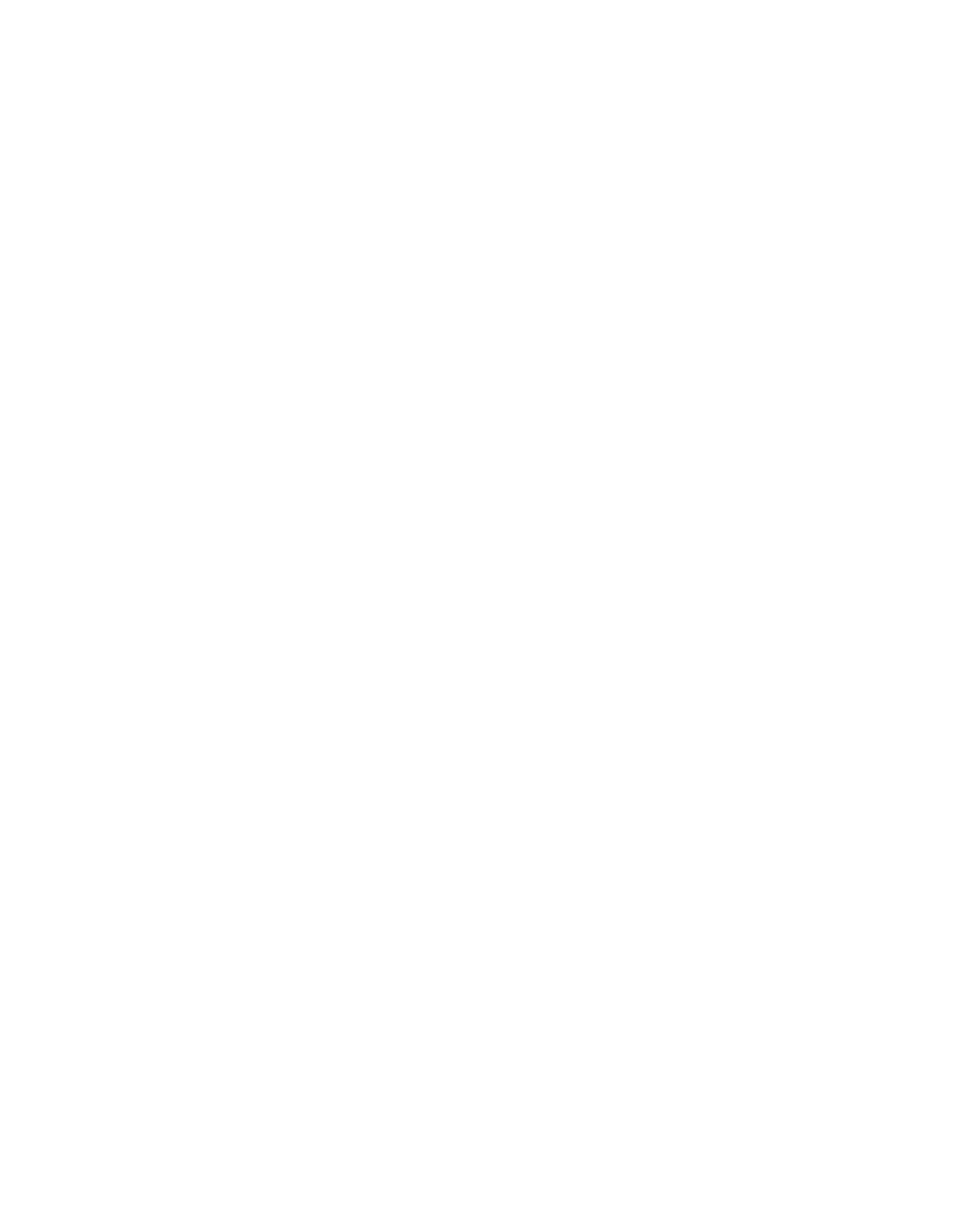## **1. The Clay County Food and Farm Economy**

Agriculture is the largest industry in North Carolina. The state ranks  $8<sup>th</sup>$  nationally in farm income with \$10.3 billion of farm products marketed in 2007, up 48% from  $2002<sup>1</sup>$ . A total of 52,913 farms were operating in the state in 2007 on nearly 8.5 million acres. The average farm size in North Carolina in 2007 was 160 acres, with the state's largest farms concentrated in the eastern part of the state.

Clay County is classified as a rural county of Western North Carolina and is home to 10,587 residents.<sup>2</sup> As of the 2007 USDA Census of Agriculture Clay County had 137 farms and a total of 9,660 acres of farmland, or 7% of the total land area of the county. Significantly, 80.4% of the land area in Clay County is national forest.<sup>3</sup> Therefore, of the 26,806 acres of non-forest land in the county, farmland represents 36%.

The average farm size in Clay County is 71 acres; the average for the four county region is the same at 71 acres. The six-county region average is slightly lower at 67 acres. Table 1 illustrates the size distribution of farms in Clay County, the four-county area, and the six-county area. For all three geographic regions, small farms between 10 and 49 acres are the most common. The majority of farms in the region are smaller than the North Carolina state average size of 160 acres, a fact attributable to the topography of the mountainous terrain which makes it difficult for most farms to expand to the scale attained by farmers in eastern North Carolina.

| Table 1. Number of Farms by size in Clay County, Four-county, and Six-county Areas, 2007 <sup>4</sup> |                    |                         |                        |  |  |
|-------------------------------------------------------------------------------------------------------|--------------------|-------------------------|------------------------|--|--|
| Size of farm (acres)                                                                                  | <b>Clay County</b> | <b>Four-county area</b> | <b>Six-county area</b> |  |  |
| 1 to 9 acres                                                                                          | 18                 | 79                      | 135                    |  |  |
| 10 to 49 acres                                                                                        | 67                 | 422                     | 676                    |  |  |
| 50 to 179 acres                                                                                       | 38                 | 241                     | 369                    |  |  |
| 180 to 499 acres                                                                                      | 12                 | 68                      | 100                    |  |  |
| 500 to 999 acres                                                                                      |                    |                         | 13                     |  |  |
| 1,000 acres or more                                                                                   |                    |                         |                        |  |  |
| <b>Total</b>                                                                                          | 137                |                         | 1.294                  |  |  |

Source: USDA Agricultural Census, 2007

#### Section 1. Cash Receipts from Farming

For 2007 total agricultural receipts reported for the six-county area were nearly \$33.6 million. Clay County receipts accounted for over \$1.1 million of this total. Table 2 provides a breakdown of selected farm products sold in 2007 for Clay County, the four-county area, and the six-county area.

 $\overline{a}$  $1$  The USDA Agricultural Census is conducted every five years. The most recently released data is from 2007. Throughout this report, data is from 2007 unless otherwise indicated.

<sup>&</sup>lt;sup>2</sup> Source: US Census Bureau Quickfacts (2009)[, http://quickfacts.census.gov/qfd/download\\_data.html](http://quickfacts.census.gov/qfd/download_data.html)

<sup>&</sup>lt;sup>3</sup> Source: Clay County Chamber of Commerce

 $4$  The acreage designated as "land in farms" consists primarily of agricultural land used for crops, pasture, or grazing. It also includes woodland and wasteland not actually under cultivation or used for pasture or grazing, provided it was part of the farm operator's total operation. Land in farms also includes idle cropland, cropland not harvested, and land in government conservation programs.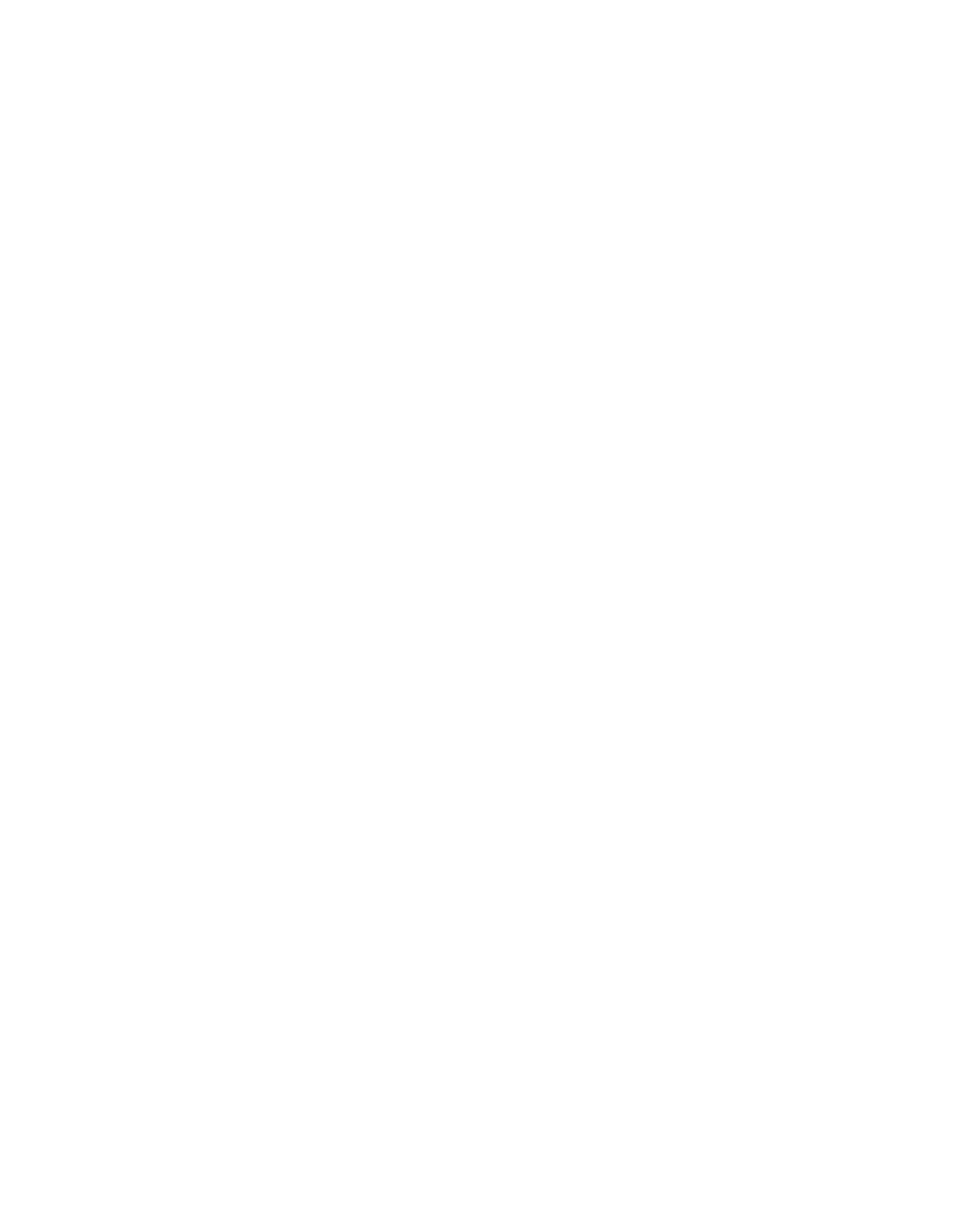| Table 2. Market Value of Agricultural Products Sold for Clay County, Four-county, |                          |                          |                   |  |  |
|-----------------------------------------------------------------------------------|--------------------------|--------------------------|-------------------|--|--|
| and Six-county Regions (2007)                                                     |                          |                          |                   |  |  |
| <b>Market Value of Agricultural</b>                                               | <b>Clay</b>              | Four-county <sup>5</sup> | <b>Six-county</b> |  |  |
| <b>Products Sold</b>                                                              | (\$1,000)                | (\$1,000)                | (\$1,000)         |  |  |
| Total value of agricultural products                                              |                          |                          |                   |  |  |
| sold                                                                              | 1,114                    | 26,575                   | 33,582            |  |  |
| Value of crops including nursery                                                  |                          |                          |                   |  |  |
| and greenhouse                                                                    | 431                      | 3,002                    | 5,470             |  |  |
| Value of livestock, poultry, and                                                  |                          |                          |                   |  |  |
| their products                                                                    | 683                      | 4,914                    | 9,453             |  |  |
| Value of agricultural products sold                                               |                          |                          |                   |  |  |
| directly to individuals for human                                                 |                          |                          |                   |  |  |
| consumption                                                                       | 25                       | 196                      | 431               |  |  |
| <b>Value by Group</b>                                                             |                          |                          |                   |  |  |
| Grains, oilseeds, dry beans, & dry                                                |                          |                          |                   |  |  |
| peas                                                                              | $(D)$ <sup>6</sup>       | 375                      | 375               |  |  |
| Tobacco                                                                           | (D)                      | (D)                      | (D)               |  |  |
| Cotton and cottonseed                                                             |                          | L,                       |                   |  |  |
| Vegetables, melons, potatoes, and                                                 |                          |                          |                   |  |  |
| sweet potatoes                                                                    | 139                      | 394                      | 956               |  |  |
| Fruits, tree nuts, and berries                                                    | (D)                      | 158                      | 158               |  |  |
| Nursery, greenhouse, floriculture,                                                |                          |                          |                   |  |  |
| and sod                                                                           | (D)                      | 1,536                    | 2,422             |  |  |
| Cut Christmas trees and short                                                     |                          |                          |                   |  |  |
| rotation woody crops                                                              |                          | 4                        | 602               |  |  |
| Other crops and hay                                                               | $\overline{132}$         | 790                      | 823               |  |  |
| Poultry and eggs                                                                  | $\overline{3}$           | 11,494                   | 11,519            |  |  |
| Cattle and calves                                                                 | 570                      | 1,260                    | 2,584             |  |  |
| Milk and other dairy products from                                                |                          |                          |                   |  |  |
| cows                                                                              |                          | 281                      | 335               |  |  |
| Hogs and pigs                                                                     |                          | (D)                      | 10                |  |  |
| Sheep, goats, and their products                                                  | $\overline{7}$           | 47                       | 110               |  |  |
| Horses, ponies, mules, burros, and                                                |                          |                          |                   |  |  |
| donkeys                                                                           | (D)                      | 90                       | 121               |  |  |
| Aquaculture                                                                       | $\overline{\phantom{0}}$ | (D)                      | 808               |  |  |
| Other animals and other animal                                                    |                          |                          |                   |  |  |
| products                                                                          | (D)                      | 74                       | 94                |  |  |

Source: USDA Census of Agriculture, 2007

 $\overline{a}$ 

While some of the data for specific products is not available, the table shows the predominance of livestock, poultry, and their products for the region. Cattle and calves accounted for the majority of this figure for each county except Graham, where aquaculture dominated. For Clay County, livestock production accounted for about 61% of all 2007 agricultural sales.

<sup>&</sup>lt;sup>5</sup> The USDA Census of Agriculture suppressed specific monetary data for Union County, GA regarding "Value of crops including nursery and greenhouse" and "Value of livestock, poultry, and their products." However the census does, provide the "Total value of agricultural products sold" for Union County. For this reason the "Value of crops" plus "Value of livestock" categories in the four-county and six-county sales do not add up to the "Total value of agricultural products sold."

 $\sigma$ <sup>6</sup>(D) indicates that specific data has been withheld by the USDA to avoid disclosing data for individual farms.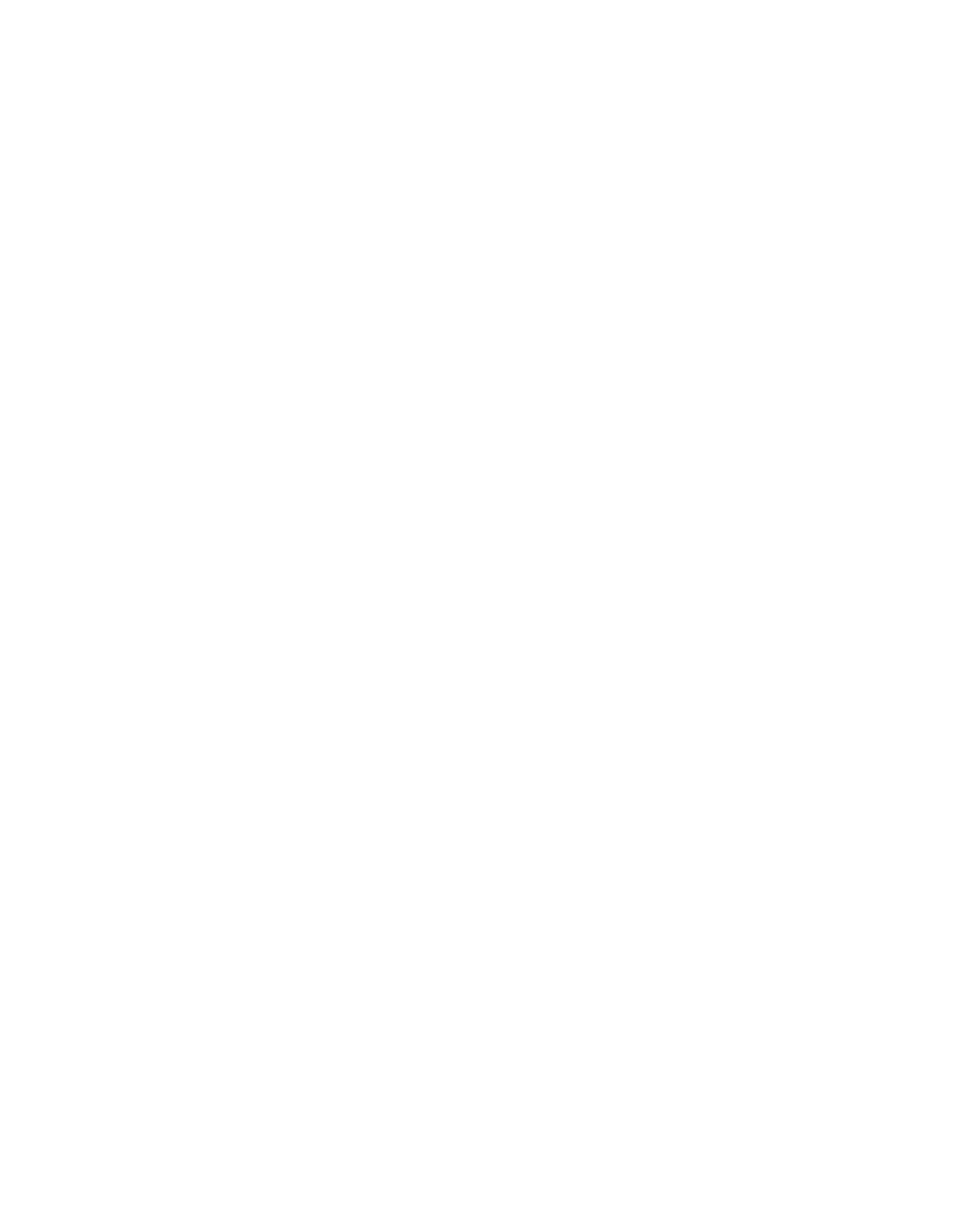Another important segment was vegetables, melons, and potatoes. In Clay County, vegetable products accounted for 32% of crop sales and 13% of total sales. Sales of these items grew significantly from 2002 to 2007, from \$46,000 to \$139,000.

Though not depicted in the table, Clay County experienced a steep decline in poultry and egg production from 2002 to 2007; sales dropped from \$85,000 to \$3,000.

## **2. Trends in Farming and Farmland**

Data from the preceding chapter provides a snapshot of the Clay County and surrounding area's farm economy. A more complete picture emerges when regional trends and their effect on production are examined.

#### Section 1. Decline in Farms and Acres of Farmland

Table 3 shows trends in farm numbers and farmland acreage in Clay County from 1992 to 2007. The total acreage of farms declined by nearly half (41%) over the 15 year period while the total number of farms diminished by 15%. The decline in numbers of farms began before 1992; from 1982 to 1992, the total number of farms in Clay County dropped from 220 to 161.<sup>7</sup> While the number of farms 50 acres or greater declined significantly (from 91 to 52, or -43% from 1992 to 2007), the number of farms under 50 acres increased (from 70 to 85, or +21% from 1992 to 2007). Commensurate with this trend, the average farm size in Clay County decreased steadily from 1997 to 2007.

| Table 3. Clay County Number of Farms and Acres of Farmland, 1992 – 2007<br>(% change rounded to nearest whole number) |        |        |                |       |                    |  |
|-----------------------------------------------------------------------------------------------------------------------|--------|--------|----------------|-------|--------------------|--|
|                                                                                                                       | 1992   | 1997   | 2002           | 2007  | % Change 1992-2007 |  |
| Farms                                                                                                                 | 161    | 166    | 168            | 137   | $-15%$             |  |
| Land in farms (acres)                                                                                                 | 16,405 | 18,288 | 13,434         | 9,660 | $-41%$             |  |
| Average size of farm (acres)                                                                                          | 102    | 110    | 80             | 71    | $-30\%$            |  |
|                                                                                                                       |        |        |                |       |                    |  |
| 1 to 9 acres                                                                                                          | 13     | 12     | 19             | 18    | $+39%$             |  |
| 10 to 49 acres                                                                                                        | 57     | 56     | 73             | 67    | $+18%$             |  |
| 50 to 179 acres                                                                                                       | 65     | 72     | 61             | 38    | $-42%$             |  |
| 180 to 499 acres                                                                                                      | 21     | 18     | 12             | 12    | $-43%$             |  |
| 500 to 999 acres                                                                                                      | 5      | 7      | $\overline{2}$ | 2     | $-60\%$            |  |
| 1,000 acres or more                                                                                                   | 8      |        |                | -     |                    |  |

Source: USDA Census of Agriculture, 2007, 2002, 1992

Table 4 shows trends in farm numbers and farmland acreage for the six-county region from 1992 to 2007. From 1992 to 1997 the six-county region experienced an overall *increase* in the number of farms (87 for an increase of 7.2%) but a *decrease* in farmland (16,340 acres for a decrease of 15.8%). Similar to the trend in Clay County, small farms experienced an increase in numbers with those less than 50 acres growing by 211 farms for a 35.2% increase. After showing an increase in numbers from 1992 to 2002, farms larger than 50 acres decreased to below 1992

 $\overline{a}$ 

<sup>7</sup> Mills, S, and S Bingham, 2010. *A Farmland Protection Plan for Clay County, North Carolina*.

<sup>&</sup>lt;sup>8</sup> This symbol is used by the USDA to represent zero.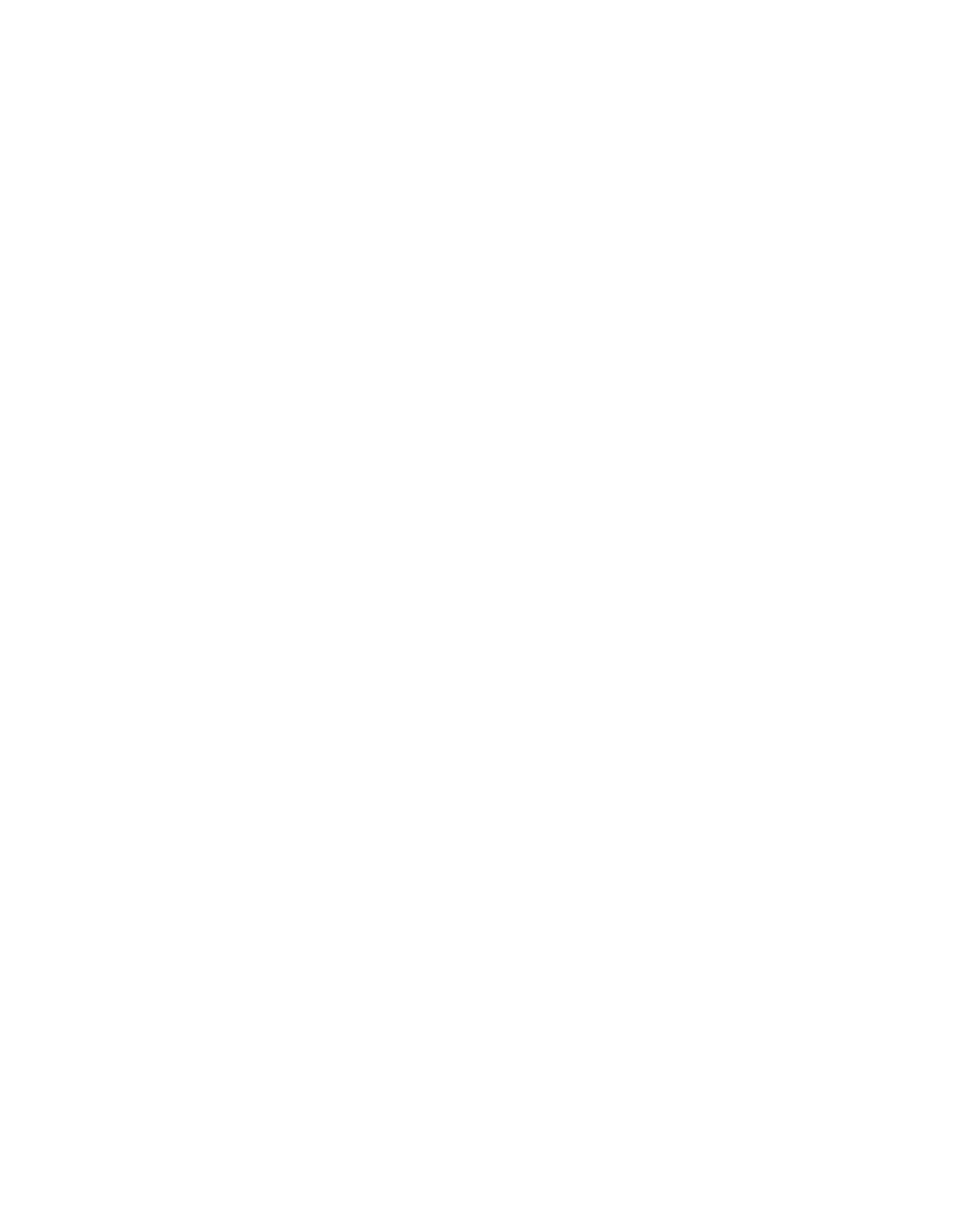levels by the year 2007. There was a 39.4% increase in farms over 50 acres from 1992 to 2002, but a decrease of 42.9% from 2002 to 2007. The overall decrease in farms 50 acres or larger from 1992 to 2007 was 20.4%.

Nationally the number of farms increased 3.6% from 2002 to 2007. The majority of this increase occurred in small farms. Farms in the 1 to 9 acre category increased nearly 30% while those 10 to 49 acres rose 10%. Though the total number of farms decreased in the six-county area, like the national trend there was a large increase in the number of farms under 50 acres (+35.2%).

| Table 4. Six-county Area Number of Farms and Acres of Farmland, 1992 – 2007 |        |         |         |                |          |  |  |  |
|-----------------------------------------------------------------------------|--------|---------|---------|----------------|----------|--|--|--|
| (% change rounded to nearest whole number)                                  |        |         |         |                |          |  |  |  |
| 1992<br>% Change 1992-2007<br>2002<br>1997<br>2007                          |        |         |         |                |          |  |  |  |
| Farms                                                                       | 1,294  | 921     | 1,415   | 1,207          | $+7.2%$  |  |  |  |
| Land in farms (acres)                                                       | 86,848 | 101,814 | 109,562 | 103,188        | $-15.8%$ |  |  |  |
| 72.5<br>Average size of farm (acres)<br>76.7<br>84.7<br>66.7                |        |         |         |                | $-21.3%$ |  |  |  |
|                                                                             |        |         |         |                |          |  |  |  |
| 1 to 9 acres                                                                | 135    | 103     | 139     | 117            | $+15.4%$ |  |  |  |
| <b>10 to 49 acres</b>                                                       | 676    | 448     | 631     | 483            | $+40%$   |  |  |  |
| 369<br>50 to 179 acres<br>564<br>441                                        |        |         |         |                | $-20.6%$ |  |  |  |
| 180 to 499 acres                                                            | 100    | 223     | 112     | 123            | $-18.7%$ |  |  |  |
| 500 to 999 acres                                                            | 13     | 51      | 18      | 17             | $-23.5%$ |  |  |  |
| 1,000 acres or more                                                         | 1      | 8       | 4       | $\overline{2}$ | $-50%$   |  |  |  |

Source: USDA Census of Agriculture, 2007, 2002, 1992

#### Section 2. Aging of the Farm Population

According to the USDA, the average age of farmers has increased every year since 1978. The average age of all U.S. farm operators has been greater than 50 years of age since at least the 1974 census. Between 2002 and 2007, the national average increased from 55.3 years of age to 57.1 years of age.<sup>9</sup> Farmers in Clay County are older on average than those across the country; the average age of Clay County farmers is 59.6, while the average farmer age for the four-county and six-county regions are 57.8 and 57.7, respectively.<sup>10</sup>

Definite relationships exist between age of farm operator and particular farm characteristics. For example, family farms typically have older farm operators than corporate farms, and farms in smaller income classes typically have older farm operators than larger income class farms.<sup>11</sup> With the concentration of family farms in the region, it is not surprising that the average operator age is greater than the national average.

Beginning in 2002, the USDA began gathering additional information about farm operator characteristics to help clarify issues related to the aging of the farm population, such as farm succession plans and the extent to which young farmers are replacing older farmers as they retire

 $\overline{a}$ 

<sup>9</sup> *Farmers by Age*, 2007 Census of Agriculture

<sup>&</sup>lt;sup>10</sup> Sources: 2007 Census of Agriculture, US Census Bureau Quickfacts (average ages)

<sup>&</sup>lt;sup>11</sup> What We Know About the Demographics of U.S. Farm Operators, 2005, National Agricultural Statistics Service, USDA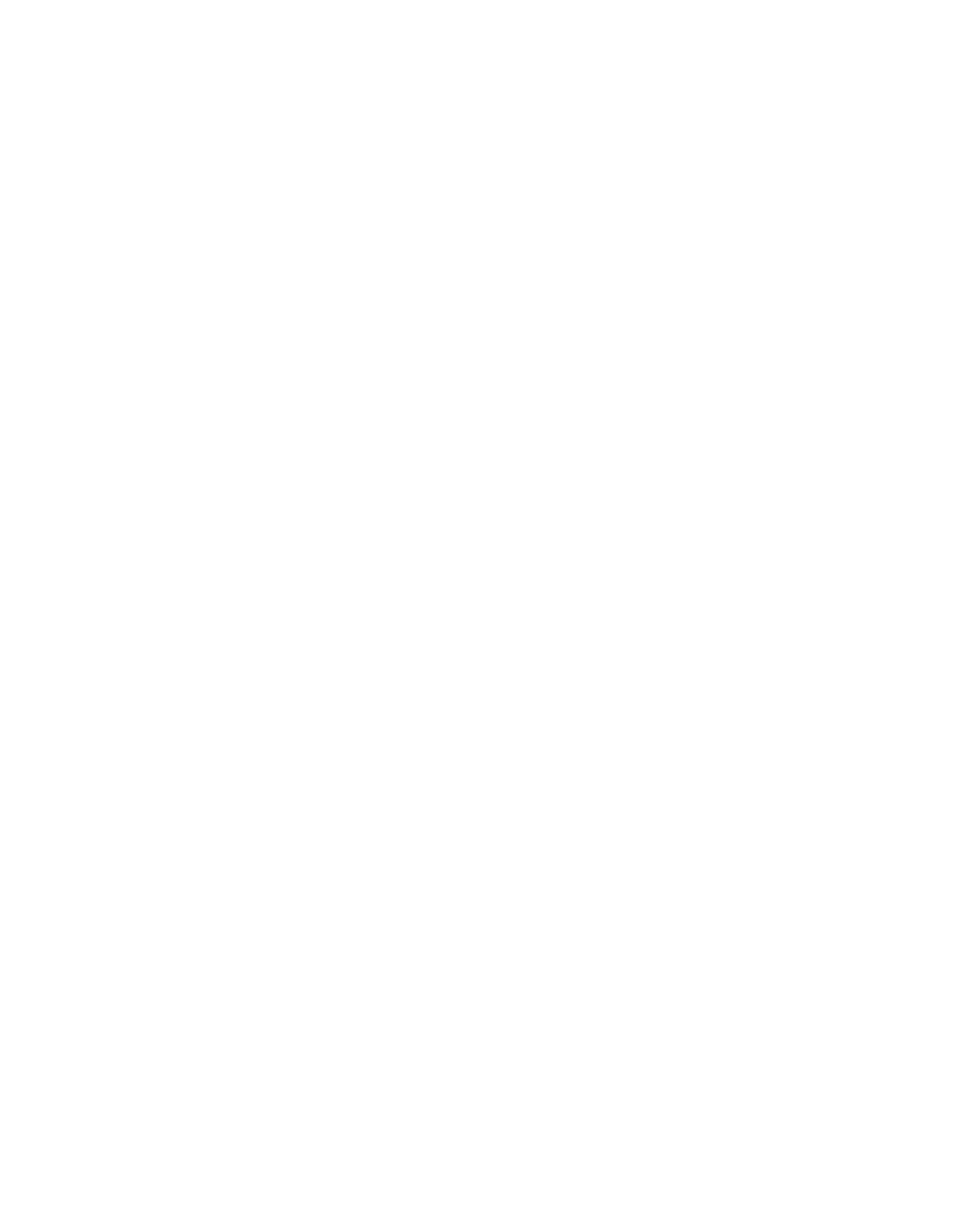from farming. The new data indicates that only about 9% of all farms nationwide have multiple operators from different generations working on their farms as farm operators, and the likelihood of having multiple operators is significantly lower for lower income class farms that predominate in this region.

A 2010 survey of Clay County landowners commissioned by the Clay County Farmland Preservation Committee found that 37% of respondents were age 70 or over.<sup>12</sup> In addition, the majority of responding landowners (71%) indicated that their land had been in family ownership for over 50 years, and less than half (46%) reported that they had a farm transition plan in place. These responses suggest that agriculture in Clay County is at a crucial turning point, where many farms are approaching transition.

# Section 3. The Tobacco Buyout and Related Shifts in Production

The single largest influence on the North Carolina farm economy in recent years is commonly referred to as the 2004 tobacco buyout. Effects of the changes in tobacco policy began in the mid-1990s as growers began anticipating the end of federal tobacco support. Quota cuts and falling prices during the 1990s also contributed to a changing landscape of tobacco production in the region.

The buyout refers to Fair and Equitable Transition Act passed by Congress on October 22, 2004. The legislation eliminated federal price support and supply control programs which had regulated tobacco production and marketing since the Great Depression era. It opened tobacco production to an unregulated, free market system beginning with the 2005 crop. Payments to growers and quota owners under the tobacco buyout were scheduled to take place over ten years, which means that the full effects of the buyout are still to be fully actualized.

For North Carolina, number one in the U.S. in the production of tobacco with 36% to 38% of total tobacco production, the full impact of the buyout will be dramatic. Some experts have estimated that as many as five out of six farmers growing tobacco will find another way to earn a living and that the majority of small-scale farms growing tobacco under the old system will no longer be viable in the tobacco market.<sup>13</sup>

The effects of the 2004 tobacco buyout are apparent in Clay County and the surrounding areas. Between 2002 and 2007, the number of farms growing tobacco fell drastically from 30 to 5 farms within Clay County and from 88 to 5 farms in the six-county area. With many regional farmers exiting tobacco production, there is a tremendous need and opportunity to shift farm production into different crops and markets.

# Section 4. Consolidation of the Food System

Over the past 50 years, concentration in the ownership and management of food production and marketing has dramatically restructured the agricultural and food industries in the U.S. and globally. Horizontal and vertical integration, mergers and acquisitions, and the use of supply

 $\overline{a}$ <sup>12</sup> Mills, S, and S Bingham, 2010. *A Farmland Protection Plan for Clay County, North Carolina*.

<sup>&</sup>lt;sup>13</sup> The Agricultural Reinvestment Report. 2006. Rural Advancement Foundation International-USA.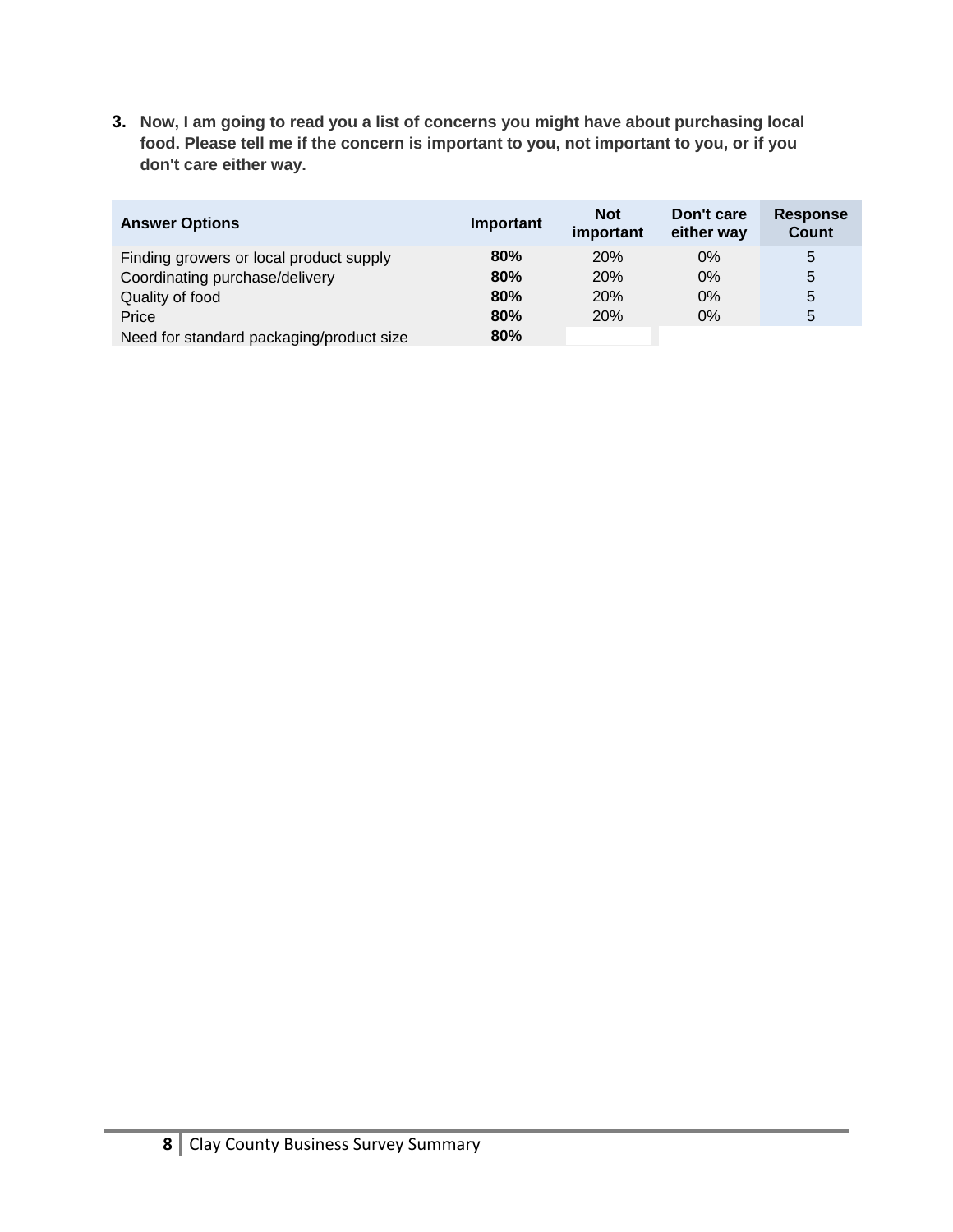chain management strategies are mechanisms by which change has occurred. The result is that fewer but larger companies have come to dominate each stage of production, processing, and distribution. Consolidation in retail and wholesale markets in particular makes it increasingly difficult for small farmers to maintain their market share. Despite these trends, significant opportunities exist for Clay County producers in local markets. Local markets present small producers, in particular, with increased market options, and they offer markets that are less vulnerable to global price fluctuations. High levels of consumer demand for locally grown food exist in the project region and interest by food retailers, wholesalers, and institutions in meeting consumer demand is increasing.

## **3. Economic Considerations**

An analysis of current farm profitability is necessary to determine the long-term viability of the region's farms. The USDA reports that the net cash farm income for farmers in the six-county area in 2007 was \$7,934,000 with farms earning an average of \$6,138. However these averaged figures are do not accurately represent the trends in farm profitability for the area. Figure 1 below is a graphic representation of the net profitability of farms in the six-county area. The trend across all counties in the region is the same; the average net profit earned by profitable farms (\$31,748) exceeds the average net loss of unprofitable farms (-\$8,257).



Figure 1: Farm Profitability in the Six-county Area (2007) Farm Dollars

There is a second important piece to the profitability profile. Figure 2 below is similar to Figure 1 in that it depicts farm profitability by county; however the focus of Figure 2 is the number of farms reporting net gains or net losses for the year 2007. For the six-county area, the total number of farms reporting net gains was 458. The total number of farms reporting net losses was 836.

Source: USDA Census of Agriculture, 2007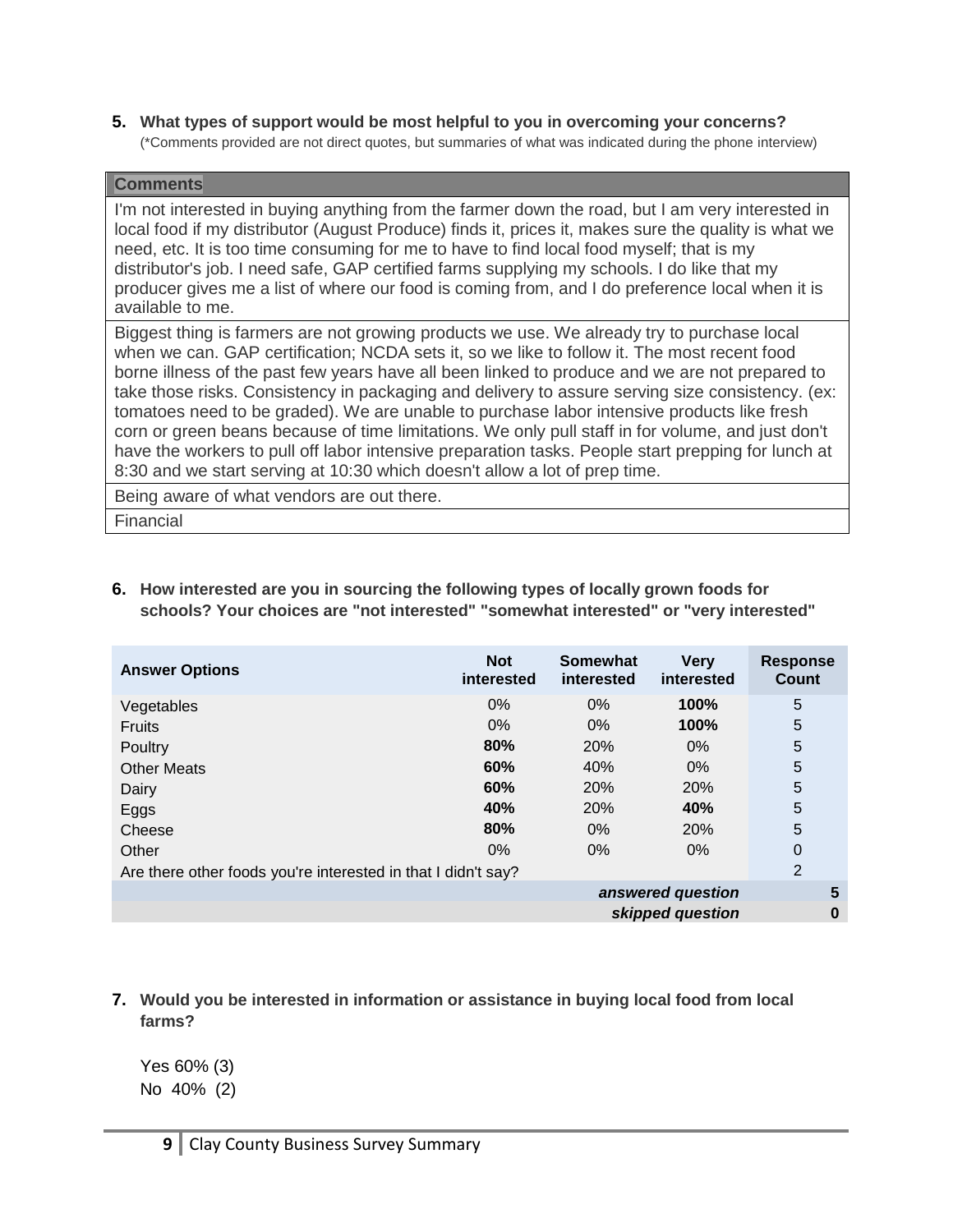

Figure 2: Farm Profitability in the Six-county Area (2007) Number of

Source: USDA Census of Agriculture, 2007

 $\overline{a}$ 

Therefore, while the profitable farms (from Figure 1) in the area reported high average gains and gave the region an overall positive production balance, a much larger number of individual farms lost money. It is not uncommon for small family farms to lose money. In fact, some small farms stay in farming for reasons other than profitability, such as continuing a family tradition or maintaining a rural lifestyle.<sup>14</sup> Long term sustainability of the farm sector, however, depends on improving the ability of regional farms to be profitable.

The ability of individual farms to earn a profit depends on their ability to increase total revenues and/or lower total costs. Revenue streams and costs of production vary substantially by product. Meat prices, for example, are much higher per pound than vegetable prices, but the costs of production are also much higher. Revenues are driven by prices, which are largely out of producers' control. One bright spot is in the rise in the popularity of local food and farm products which can provide an avenue for increased prices and lower production and distribution costs for farmers.

Decreasing the distance between the producer and the consumer has multiple benefits. Farmers have the potential to earn higher prices by selling directly to buyers – consumers or businesses – rather than to intermediaries, such as packers, wholesalers, and distributors. Whether or not that translates into higher profits depends on the extent to which transaction costs also increase. Transaction costs include everything from harvesting to packaging to marketing farm products and vary according to how or where products are sold.

The emphasis on expanding local markets for local farm products in this report is based on an underlying assumption that local markets can both increase the market value of farm products – by enabling farmers to earn a premium for locally-grown foods – and reduce total costs by shortening the transaction chain between farmers and end consumers.

<sup>14</sup> Robert A. Hoppe, P. Korb, E. O'Donoghue, D. Banker, *Structure and Finances of U.S. Farms: Family Farm Report, 2007 Edition.* June 2007. Economic Research Service, USDA.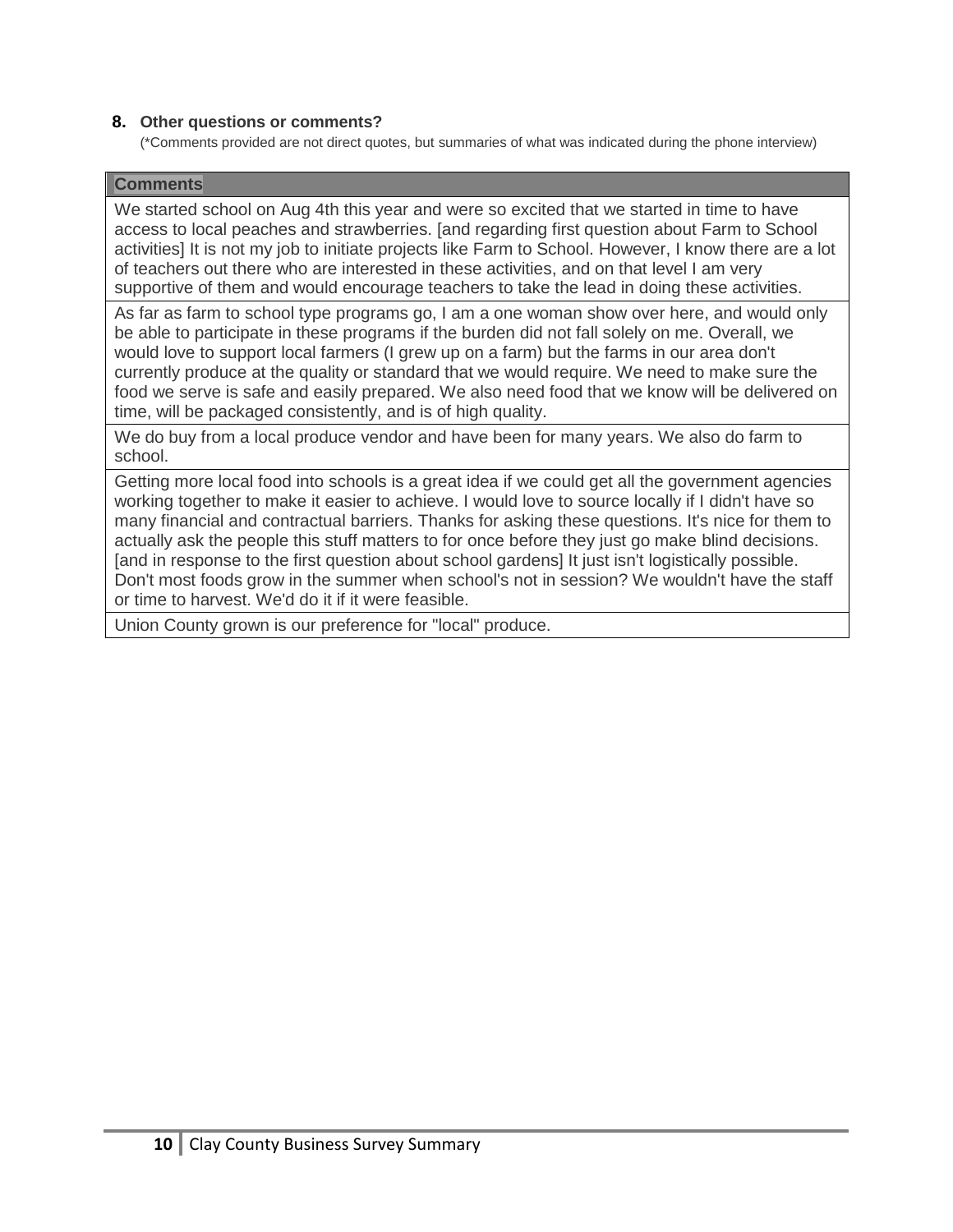# **4. Opportunities in the Local Market for Locally-Grown Foods**

Despite national trends toward consolidation, other national trends demonstrate opportunities for producers in local markets. Data released by the 2007 Agricultural Census shows nationally that direct food sales rose 49 percent to \$1.2 billion in 2007 from \$812 million in 2002. Census data also shows an increase in the number of farms, particularly small farms (those less than 50 acres), which reverses a decades-long trend. Both trends reflect the rapidly growing consumer interest in knowing who is growing their food. National market research by firms like the Hartman Group and JWT Advertising have identified "local" as one of the food attributes most highly valued by consumers nationwide. Experts have predicted that consumer demand will shift from organics to locally sourced food. The USDA has predicted that the market for locally grown food will reach \$7 billion in 2012.<sup>15</sup>

ASAP's 2007 study on the food and farming economy of the 23 counties of Western North Carolina quantified demand for locally grown fresh fruits and vegetables at that time to be \$36 million per year and as high as \$452 million for all locally grown foods. The results of a 2011 consumer survey commissioned by ASAP shows that for residents of Clay County, buying locally grown food is important because it greatly contributes to the local economy (92% of respondents) and helps support local farms (88% of respondents). For the majority of respondents, the availability of locally grown food is an important consideration when choosing a grocery store (75%) or a restaurant (60%). Furthermore, the research demonstrates the importance of labeling local food and place-based messaging that ties local food to local community: 52% of respondents stated that they would buy more locally grown food if it was labeled as local and 44% of respondents said that when local is more expensive it is worth the cost.

#### *Cost of Community Services (COCS) Studies*

The American Farmland Trust research division conducts fiscal analyses that focus on the way different types of land use affect local government taxation and spending. Nearly 20 years of data show that residential development is a fiscal net loss for communities (traffic congestion, water and air pollution, increase in demand for costly public services). Farmland on the other hand often generates a fiscal surplus that helps offset the deficit created by residential demand for public services.

There is a common misconception among local development planners that open land should be developed for its "highest and best use," that agricultural lands receive unfair tax breaks, and that residential development will lower property taxes by increasing the tax base. Results from COCS studies show that, based on cost per dollar of revenue raised to provide public services to different land uses, commercial and industrial development are the least costly form of development (median cost per dollar: \$0.29) followed closely by working and open land (median cost per dollar \$0.35). Residential development comes in at a distant third (median cost per dollar \$1.16). In other words, when considering development plans, planning departments should note that preserving farmland and open space is often a profitable strategy in the long run. For more information visit http://www.farmland.org/

The research demonstrates high levels of demand for

local food exist and interest by food retailers and wholesalers in meeting consumer demand is increasing.

 $\overline{a}$ <sup>15</sup> USDA (May 24, 2011), *New USDA Rule Encourages the Purchase of Local Agricultural Products for Critical Nutrition Assistance Programs.* News Release No. 0180.11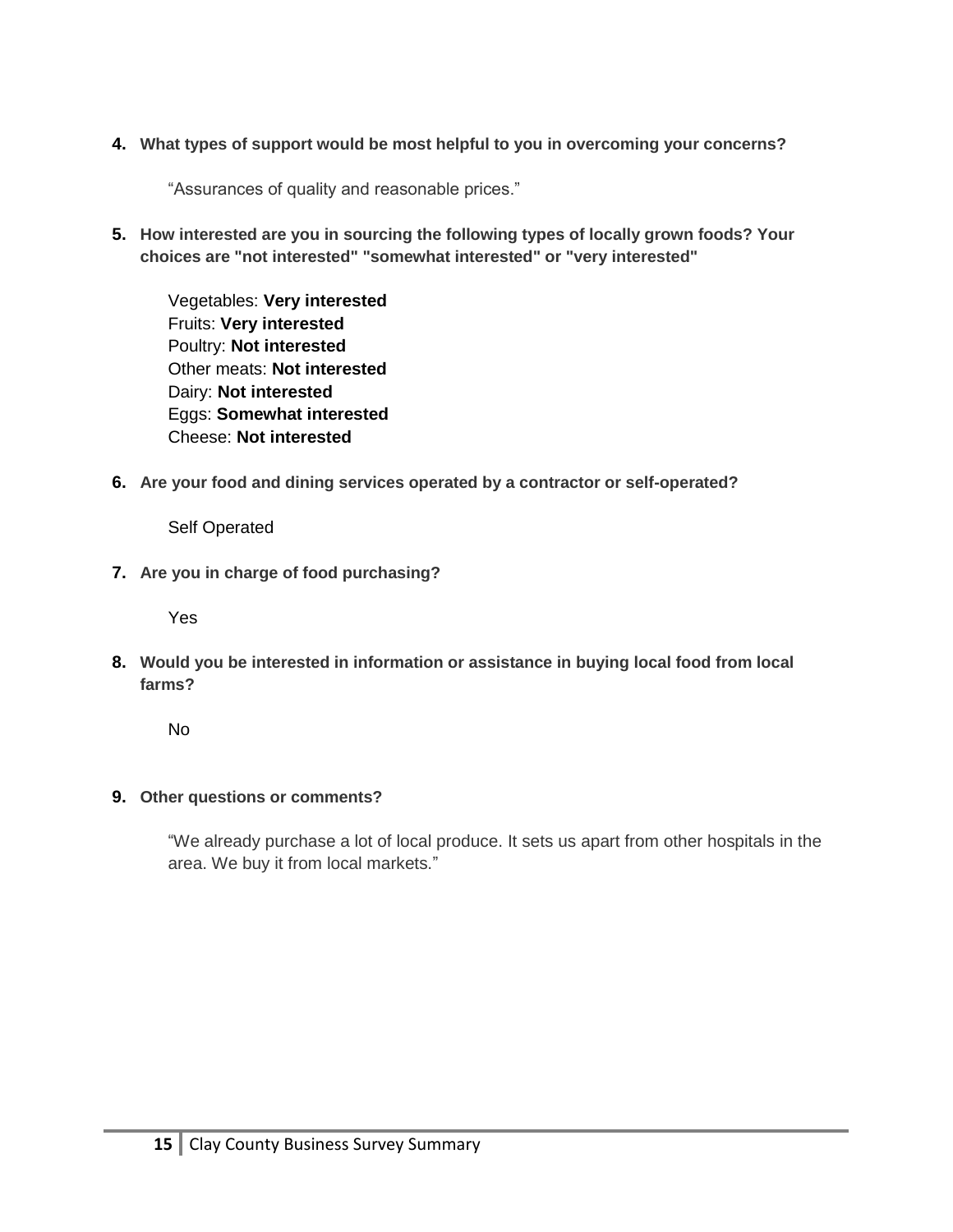## **5. Consumer Food Spending and Consumption Figures**

The following sections examine demographic and consumption statistics in four nearby urban areas as a first step in assessing the feasibility of marketing Clay County-grown products to those areas. The following measures pertain to the central counties of the Asheville<sup>16</sup>, Atlanta<sup>17</sup>, Chattanooga,<sup>18</sup> and Greenville<sup>19</sup> Metropolitan Statistical Areas (MSA).<sup>20</sup>

#### Section 1. Market Demographics

- $\triangleright$  With a population of 4,914,000 in 2009, Atlanta is the fifth largest city in the southeastern US. Greenville, Chattanooga, and Asheville are midsize cities, with 2009 populations of 570,000, 466,000, and 392,000, respectively.<sup>21</sup>
- The per capita personal income for Atlanta in 2007 was \$38,900; for Chattanooga, \$34,000; for Greenville,  $$33,300$ ; for Asheville,  $$32,800.<sup>22</sup>$
- $\triangleright$  In 2009, 84.8% of Atlanta residents 25 years old and older had completed high school, compared to 81.6% of Asheville residents, 78.3% of Greenville residents, and 78.1% of Chattanooga residents. In Atlanta, 32.9% of residents had attained a bachelor's degree or higher, compared to 24.7% of Greenville residents, 23.6% of Asheville residents, and 20.6% of Chattanooga residents.<sup>23</sup>

#### Section 2. Consumer Food Spending

Based on 2007 consumption estimates, the residents of the six-county area including Clay County spent over \$271.5 million on food in 2009, while residents of Asheville spent nearly \$1 billion, residents of Chattanooga and Greenville each over \$1.1 billion, and residents of Atlanta  $$11.7$  billion.<sup>24</sup> Regional estimates indicate that the average household in the southern US spends 59% of total food expenditures on food consumed at home, and the remaining 41% on food consumed away from home. This means that Atlanta residents, for example, spent a total of \$6.8 billion on groceries and over \$4.8 billion on food consumed in other places in 2009, while Chattanooga and Greenville each spent about \$721 million on groceries and \$510 million on food consumed away from home.<sup>25</sup>

 $\overline{a}$ 

<sup>&</sup>lt;sup>16</sup> Comprising Buncombe, Haywood and Henderson counties in NC.

<sup>&</sup>lt;sup>17</sup> Comprising Cherokee, Clayton, Cobb, Coweta, DeKalb, Douglas, Fayette, Forsyth, Fulton, Gwinnett, Henry, Newton, Paulding, Rockdale, and Spalding counties in GA.

<sup>&</sup>lt;sup>18</sup> Comprising Hamilton county in TN and Catoosa and Walker counties in GA.

<sup>&</sup>lt;sup>19</sup> Comprising Greenville and Pickens counties in SC.

 $20$  MSA central counties are defined by the US Census Bureau as counties that (a) have at least 50 percent of their population in urban areas of at least 10,000 population; or (b) have within their boundaries a population of at least 5,000 located in a single urban area of at least 10,000 population.

<sup>&</sup>lt;sup>21</sup> Source: US Census Bureau Quickfacts (2009)[, http://quickfacts.census.gov/qfd/download\\_data.html](http://quickfacts.census.gov/qfd/download_data.html)

<sup>&</sup>lt;sup>22</sup> Source: US Census Bureau Quickfacts, [http://quickfacts.census.gov/qfd/download\\_data.html](http://quickfacts.census.gov/qfd/download_data.html)

<sup>&</sup>lt;sup>23</sup> Source: US Census Bureau American Factfinder,<http://factfinder.census.gov/>

<sup>&</sup>lt;sup>24</sup> Bureau of Labor Statistics Table 33. Southern region by income before taxes: Average annual expenditures and characteristics, Consumer Expenditure Survey, 2008-2009.

 $^{25}$  A little less than three quarters of all away-from-home food spending typically occurs in restaurants.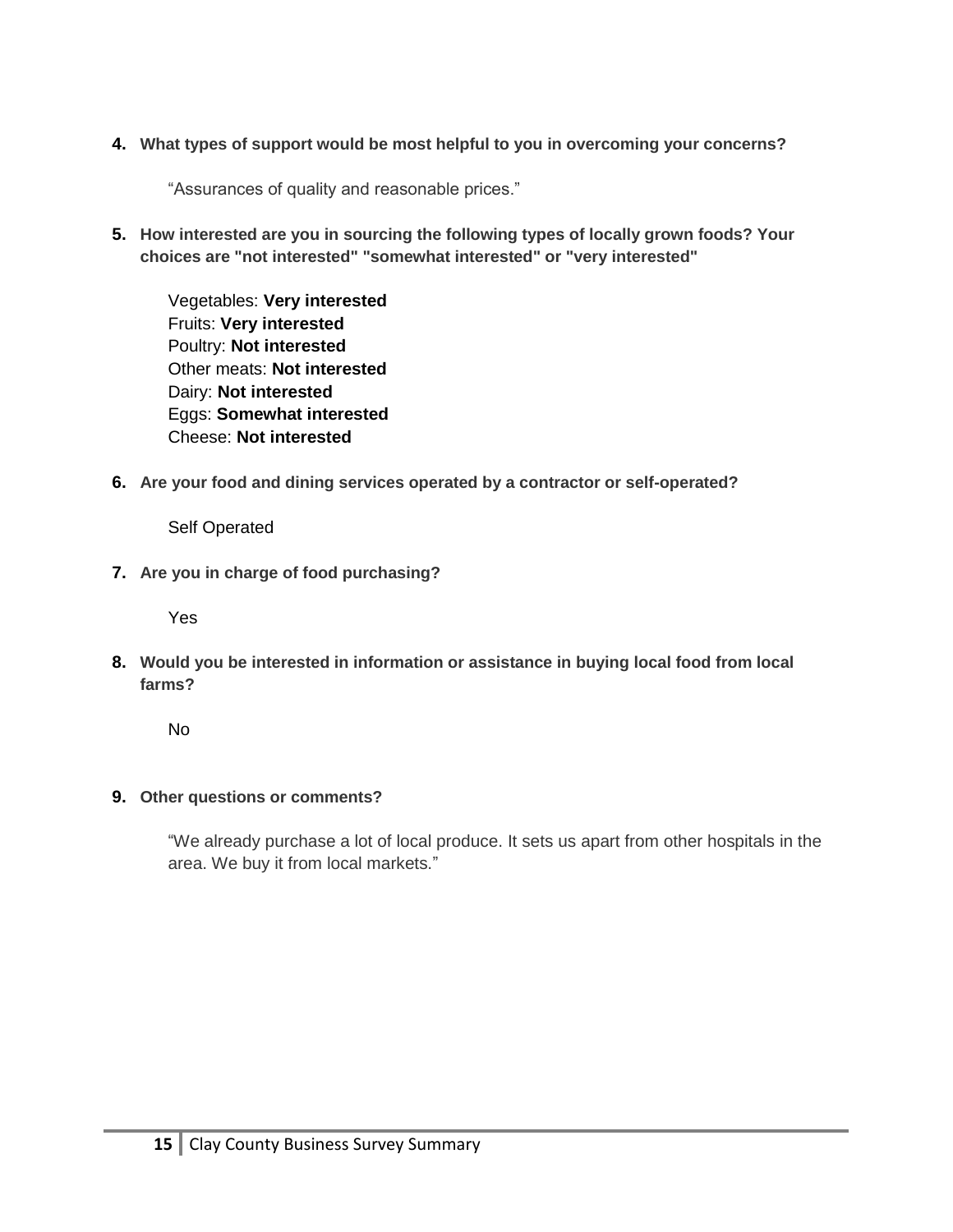Tourists visiting the area also spend a significant amount on food. In 2009, visitors to the four counties in North Carolina (Clay, Cherokee, Macon, Graham) spent \$38.7 million on food, drink, and meals.<sup>26</sup> Restaurant sales to tourists in the same four counties were estimated at over \$32.1 million.<sup>27</sup>

#### Section 3. Consumption Figures

 $\overline{a}$ 

The market potential for locally grown foods in the large metropolitan areas near Clay County is immense. However, in considering production and consumption of fresh produce, meats, and dairy products, this report focuses on the six-county region. This area represents a more realistic target market for Clay County producers. *Fruits and Vegetables*

Table 5 shows consumption estimates for 42 different fresh fruits and vegetables that can be grown in the six-county area. Column 1 in the table shows the amount of each product that is consumed in the six-county area. Column 2 shows acreage needed to grow those amounts, and Column 3 shows how many acres were devoted to growing the crops in the six-county area in 2007. County-level production acreage data is inexact. In some cases, the USDA suppresses county-level data; for example, when production is limited or only one or two farms report growing a particular crop. In other cases reported acreage may be higher than actual acreage because of formulas used by the USDA to create county profiles that are based on limited information. All estimates should be viewed in this context.

Even with incomplete data, what is clear from Table 5 is that there is significantly more demand (consumption) than supply for nearly every type of fresh fruit and vegetable grown in the region. Achieving a level of supply equal to the level of consumption in this region (i.e., matching Column 3 with Column 2) is not realistic because it assumes year-round production of fresh fruits and vegetables. Rather, there is some point between Columns 2 and 3 that represents a practical target for local production in a strong local food system.

 $26$  Calculated by multiplying the average percentage of total expenditures that tourists to the six-county area spend on food, drink and meals by total tourist expenditures in the six-county area (sources: Evans, Davé, Stoddard, Ha, "Measurement of the Economic Vitality of the Blue Ridge National Heritage Area," available online: <http://www.blueridgeheritage.com/sites/default/files/images/PDFs/Research/BRNHAVisitorSurvey2005.pdf> ; North Carolina Department of Commerce, "The 2009 Economic Impact of Travel on North Carolina Counties," available online: [http://www.nccommerce.com/\)](http://www.nccommerce.com/)

<sup>&</sup>lt;sup>27</sup> The National Restaurant Association indicates that 35% of all restaurant sales nationally are made to tourists. Therefore restaurant sales to tourists can be estimated by taking 35% of all restaurant sales in the six-county area (source: 2009 Survey of Buying Power, [http://www.surveyofbuyingpower.com\)](http://www.surveyofbuyingpower.com/)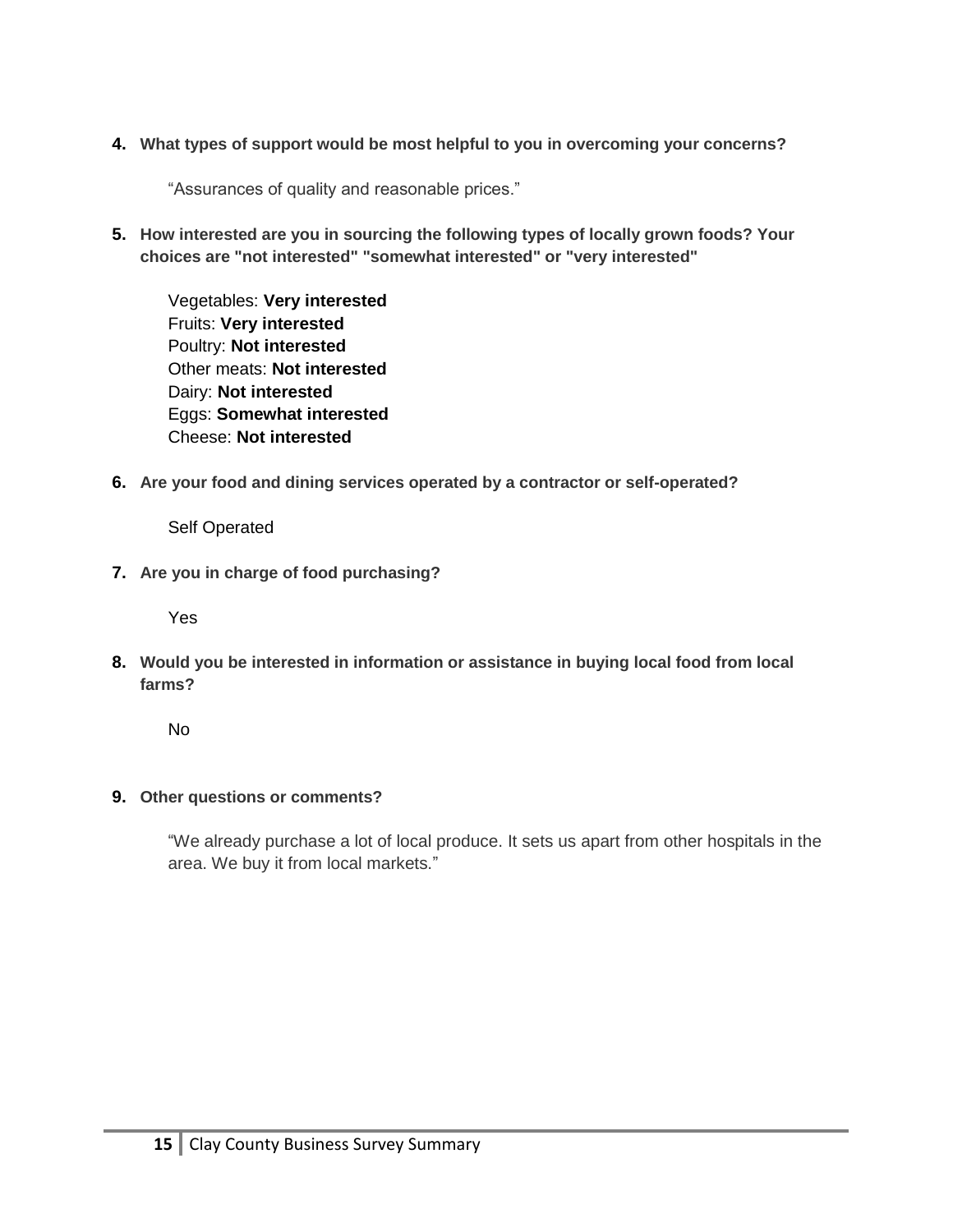Appalachian Sustainable Agriculture Project (ASAP) Food and Farm Assessment: Clay County, North Carolina

| Table 5: Comparison of Consumption and Production of Selected Fresh Fruits and Vegetables that can<br>be Grown in Six-county Area <sup>28</sup> |                         |                             |                                |  |  |  |
|-------------------------------------------------------------------------------------------------------------------------------------------------|-------------------------|-----------------------------|--------------------------------|--|--|--|
|                                                                                                                                                 | <b>Column 1: Pounds</b> | <b>Column 2: Acres need</b> | <b>Column 3: Acres devoted</b> |  |  |  |
|                                                                                                                                                 | consumed in six-county  | to produce that amount      | to the crop in six-county      |  |  |  |
| Apples                                                                                                                                          | 1,821,405               | 90                          | 53                             |  |  |  |
| <b>Berries</b>                                                                                                                                  | 59,700                  | 6                           | 40                             |  |  |  |
| Cantaloupe                                                                                                                                      | 1,000,252               | 100                         | 12                             |  |  |  |
| Cherries                                                                                                                                        | 112,641                 | $^{29}$                     | (D)                            |  |  |  |
| Grapes                                                                                                                                          | 960,828                 | 110                         | 13                             |  |  |  |
| Melons                                                                                                                                          | 185,858                 | 20                          | $\overline{\phantom{a}}$       |  |  |  |
| Peaches                                                                                                                                         | 571,090                 | 60                          | $\mathbf{1}$                   |  |  |  |
| Pears                                                                                                                                           | 351,440                 | $\overline{\phantom{a}}$    | $\overline{(Z)^{30}}$          |  |  |  |
| Plums                                                                                                                                           | 103,630                 | $\overline{\phantom{a}}$    | (D)                            |  |  |  |
| Strawberries                                                                                                                                    | 726,534                 | 50                          | 13                             |  |  |  |
| Watermelon                                                                                                                                      | 1,740,303               | 70                          | 5                              |  |  |  |
| Asparagus                                                                                                                                       | 132,916                 | 60                          | (D)                            |  |  |  |
| Beans                                                                                                                                           | 239,925                 | 40                          | 36                             |  |  |  |
| <b>Broccoli</b>                                                                                                                                 | 669,088                 | 100                         | $\overline{\phantom{a}}$       |  |  |  |
| Cabbage                                                                                                                                         | 922,530                 | 30                          | (D)                            |  |  |  |
| Carrots                                                                                                                                         | 909,013                 | 40                          | $\qquad \qquad \blacksquare$   |  |  |  |
| Cauliflower                                                                                                                                     | 176,846                 | 30                          | $\overline{\phantom{a}}$       |  |  |  |
| Celery                                                                                                                                          | 701,753                 | 20                          | $\blacksquare$                 |  |  |  |
| Corn (Sweet)                                                                                                                                    | 1,037,424               | 180                         | 74                             |  |  |  |
| Cucumbers                                                                                                                                       | 759,200                 | 50                          | 9                              |  |  |  |
| Eggplant                                                                                                                                        | 96,871                  | $\overline{4}$              | $\overline{\phantom{0}}$       |  |  |  |
| Garlic                                                                                                                                          | 312,016                 | 90                          | $\overline{\phantom{0}}$       |  |  |  |
| Greens                                                                                                                                          | 155,445                 |                             | (D)                            |  |  |  |
| Mushrooms                                                                                                                                       | 274,844                 | $\mathbf{1}$                | (D)                            |  |  |  |
| Onion                                                                                                                                           | 2,162,707               | 70                          | $\overline{\phantom{a}}$       |  |  |  |
| Lettuce (Leaf +                                                                                                                                 |                         |                             |                                |  |  |  |
| Head)                                                                                                                                           | 3,151,695               | 130                         |                                |  |  |  |
| Peas                                                                                                                                            |                         |                             | (Z)                            |  |  |  |
| Peppers (Bell)                                                                                                                                  | 1,109,514               | 100                         | 12                             |  |  |  |
| Potatoes                                                                                                                                        | 4,133,925               | 260                         | 45                             |  |  |  |
| Pumpkins                                                                                                                                        | 549,688                 | 30                          | 5                              |  |  |  |
| Radishes                                                                                                                                        | 58,573                  | 10                          | ÷,                             |  |  |  |
| Spinach                                                                                                                                         | 182,478                 | 20                          | $\overline{\phantom{a}}$       |  |  |  |
| Squash                                                                                                                                          | 469,713                 | 20                          | 82                             |  |  |  |
| <b>Sweet Potatoes</b>                                                                                                                           | 566,584                 | 40                          | (D)                            |  |  |  |
| Tomatoes                                                                                                                                        | 2,083,859               | 80                          | 37                             |  |  |  |

Source: [Column 1] ERS/USDA Data Food Availability (Per Capita) Data System: Food Guide Pyramid (2010); [Column 2 and 3] USDA Census of Agriculture, 2007.

 $\overline{a}$ 

 $28$  Table 5 represents a selection of fruits and vegetables grown in the region. While there are other types of fruits and vegetables produced in the region, specific data is unavailable (ex: nectarines, beets, leeks, sprouts, herbs, green onion, peas, romaine). 29 – is used by the USDA to represent zero.

 $30$  (Z) is used by the USDA to indicate when the value is less than half of the unit used.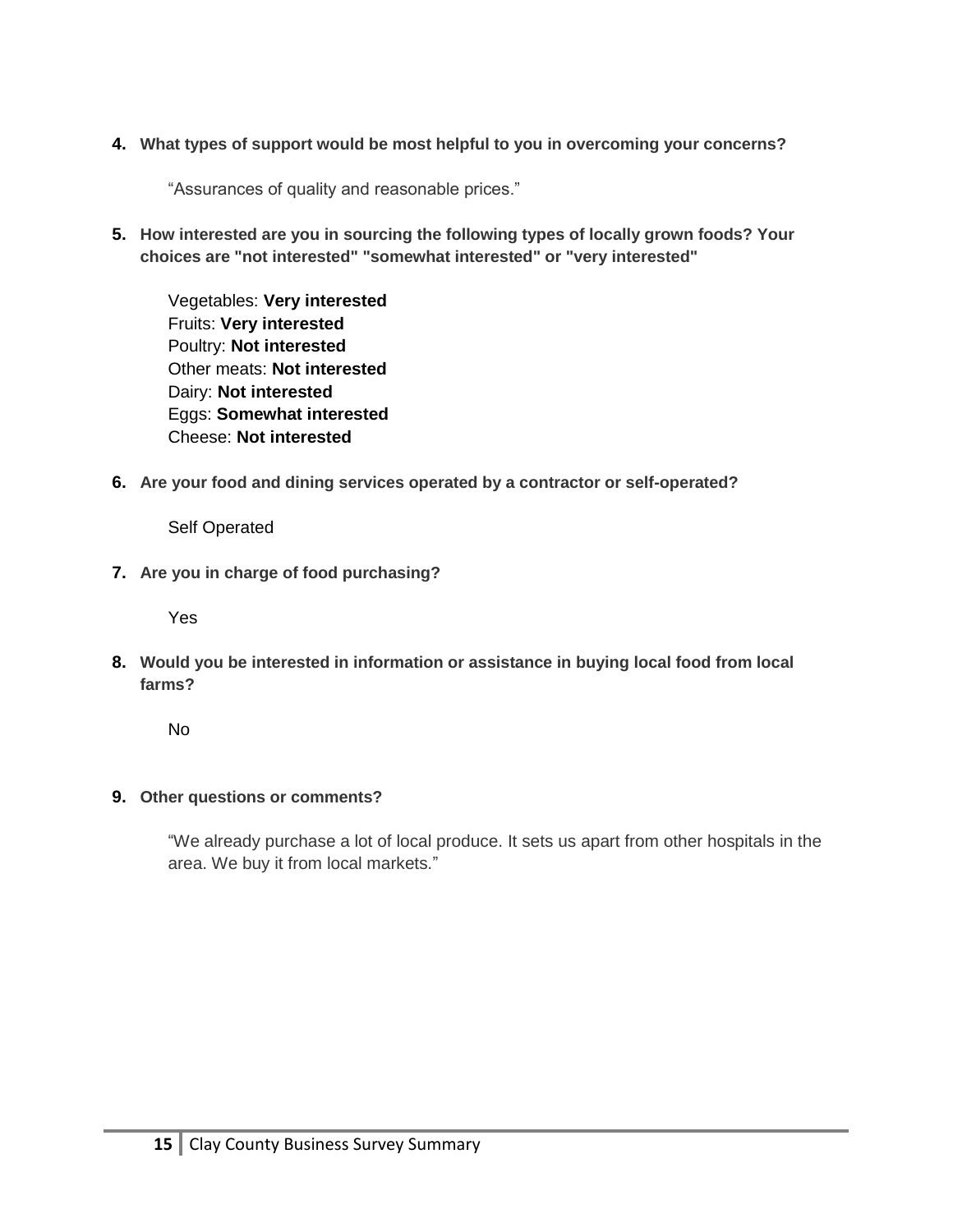Although production data are not available for processed products, Table 6 shows consumption of processed fruits and vegetables in the six-county area. Commensurate with their large populations, large amounts of processed fruits and vegetables are also consumed in the urban centers of Atlanta, Chattanooga, Greenville, and Asheville. With strong demand for ready-to-eat foods, processing locally-grown fruits and vegetables may be one way to expand consumption of local farm products.

| county Area                     | Table 0. Consumption of Science Categories of Frocessed Fruits and Vegetables in the SIX- |
|---------------------------------|-------------------------------------------------------------------------------------------|
|                                 | Pounds consumed in Six-county area                                                        |
| <b>Processed fruits</b>         |                                                                                           |
| <b>Canned apples/applesauce</b> | 496,747                                                                                   |
| <b>Canned peaches</b>           | 335,670                                                                                   |
| Apple juice                     | 2,892,621                                                                                 |
| <b>Frozen berries</b>           | 382,979                                                                                   |
| <b>Canned pears</b>             | 252,316                                                                                   |
| Grape juice                     | 557,573                                                                                   |
| <b>Other processed fruits</b>   | 8,959,465                                                                                 |
| <b>Processed vegetables</b>     |                                                                                           |
| <b>Canned tomatoes</b>          | 7,569,475                                                                                 |
| Pickles (cucumbers)             | 399,876                                                                                   |
| <b>Canned snap beans</b>        | 372,842                                                                                   |
| <b>Canned carrots</b>           | 108,135                                                                                   |
| Other canned vegetables         | 2,273,095                                                                                 |
| <b>Frozen vegetables</b>        | 8,583,244                                                                                 |
| <b>Dehydrated vegetables</b>    | 3,345,438                                                                                 |

Table 6. Consumption of Selected Categories of Processed Fruits and Vegetables in the Six-

Source: ERS/USDA Data Food Availability (Per Capita) Data System: Food Guide Pyramid (2008)

#### *Meat and Dairy*

As in the case of fresh fruits and vegetables, the yearly consumption of selected meat products in the six-county area is also generally much higher than reported production in the same area (Table 7). Of the meat products examined, beef production in the six-county area is the only product that exceeds the level of local consumption.

It is important to note that the majority of the region's beef production is in cow/calf operations. However, shifts are occurring in the region with the emergence of grass-fed, artisanal, and niche markets. The USDA estimates that the percent of livestock producers who target direct markets is about 1 percent. Access to a government-inspected processing facility is the principal infrastructure obstacle for any type of meat. Grass-fed and grass-finished beef also require land for pasture, on-farm animal handling facilities, and adequate cold storage for processed meat products. To shift into this type of production, cow/calf producers would need to learn and adopt new practices, including more closely managed grazing and pasture management.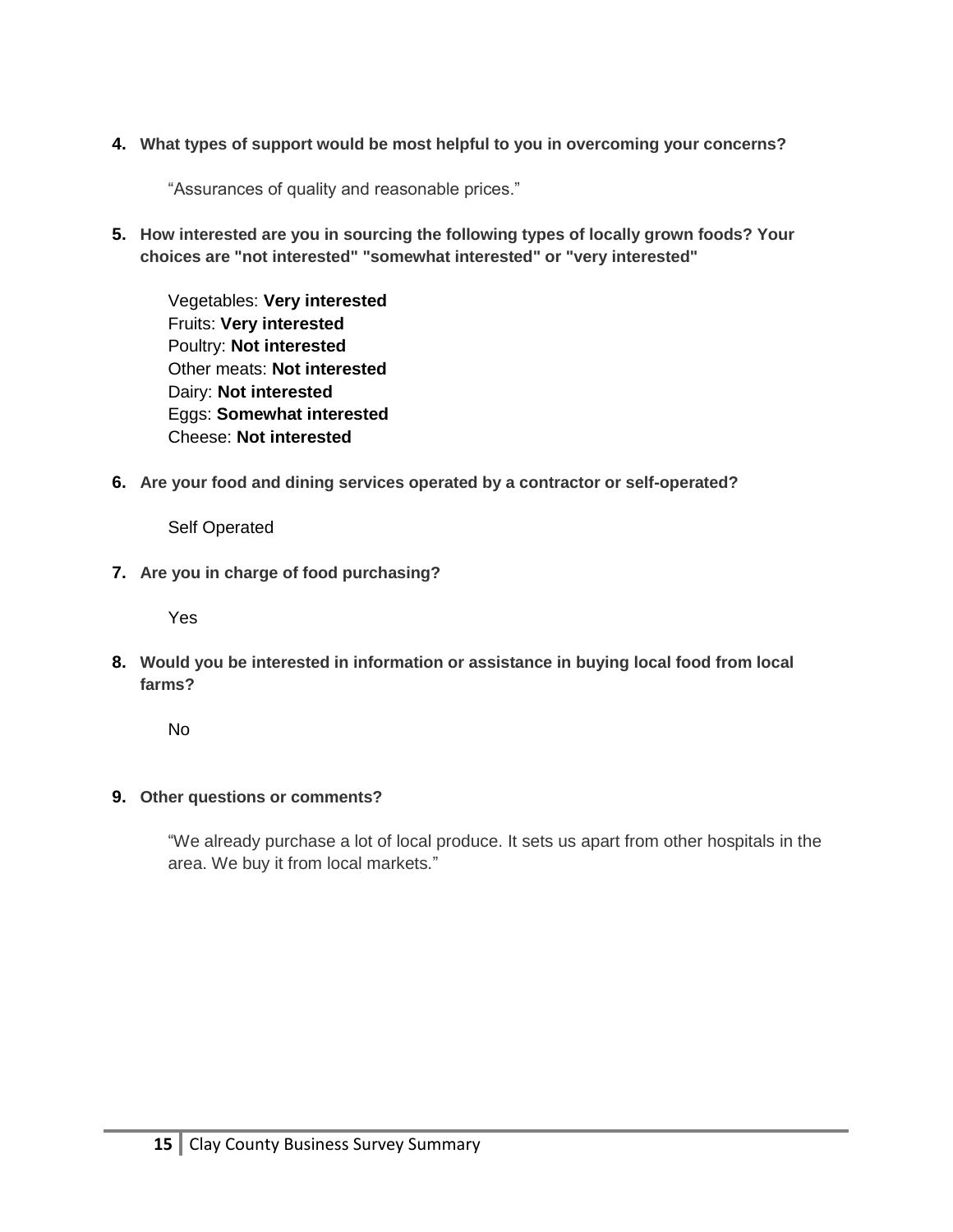| Table 7. Comparison of Consumption and Production in the Six-county Area<br>of Selected Meat Products |                        |                        |  |  |  |
|-------------------------------------------------------------------------------------------------------|------------------------|------------------------|--|--|--|
|                                                                                                       | <b>Pounds consumed</b> | <b>Pounds produced</b> |  |  |  |
| <b>Beef</b>                                                                                           | 10,306,652             | 10,764,011             |  |  |  |
| <b>Chicken</b> (broilers)                                                                             | 10,993,762             | [ ] )                  |  |  |  |
| Pork                                                                                                  | 7,096,383              | 20,934                 |  |  |  |
| Lamb                                                                                                  | 123,905                | 16,330*                |  |  |  |
| <b>Turkey</b>                                                                                         | 1,982,482              | 393*                   |  |  |  |

Sources: The figures in the table are based on a series of calculations combining data from the 2007 Census of Agriculture and the Agriculture Statistics division of the North Carolina Department of Agriculture. \*These estimates are low because data for some counties were withheld.

An estimated 7,041,951 pounds of milk were produced in the six-county area in 2007, equal to 35% of the fluid milk consumed in the same area (Table 8). Some portion of that amount is marketed as fluid milk, and some is used to make cheese and other processed dairy products. No information is available from government sources detailing the end uses of milk produced in the area. In 2007, there were no dairy farms reported from Clay County.

| Table 8. Consumption and Production of Dairy Products in the Six-<br>county Area |                        |                        |  |  |  |  |
|----------------------------------------------------------------------------------|------------------------|------------------------|--|--|--|--|
|                                                                                  | <b>Pounds consumed</b> | <b>Pounds produced</b> |  |  |  |  |
| <b>Fluid Milk</b>                                                                | 20,174,003             | 7,041,951              |  |  |  |  |
| All cheese                                                                       | 3,367,966              | (NA)                   |  |  |  |  |
| All frozen dairy<br>(NA)<br>2,816,025                                            |                        |                        |  |  |  |  |
| Yogurt                                                                           | 1,329,164              | (NA)                   |  |  |  |  |
| <b>Butter</b>                                                                    | 563,205                | (NA)                   |  |  |  |  |

Source: Production data for milk is derived from 2007 Census of Agriculture data combined with production statistics provided by the North Carolina Department of Agriculture.

#### **6. Clay County Consumer Preferences for Local**

To assess the values Clay County residents associate with locally-grown foods, phone interviews were conducted with 50 individuals from April 8 to April 22, 2011. Specific points of interest targeted by the survey include local food purchasing habits, conceptions of locally-grown foods, and the effect of advertising in influencing local food purchasing habits.<sup>31</sup>

Based on the Bureau of Labor Statistics' *Average Annual Expenditures and Characteristics, Consumer Expenditure Survey* Clay County residents spend \$36,927,456 per year on groceries. Based on survey responses, Clay County residents estimate their own expenditures on groceries to be between \$24,351,794 and \$33,920,748+ per year, a very similar figure to the Bureau of Labor Statistics estimate. Extrapolating from a combination of survey results and Bureau of Labor Statistics estimates, Clay County residents spend between \$1.7 million and \$3.8 million on

 $\overline{a}$ 

 $31$  See Appendix B for the full results of the consumer survey.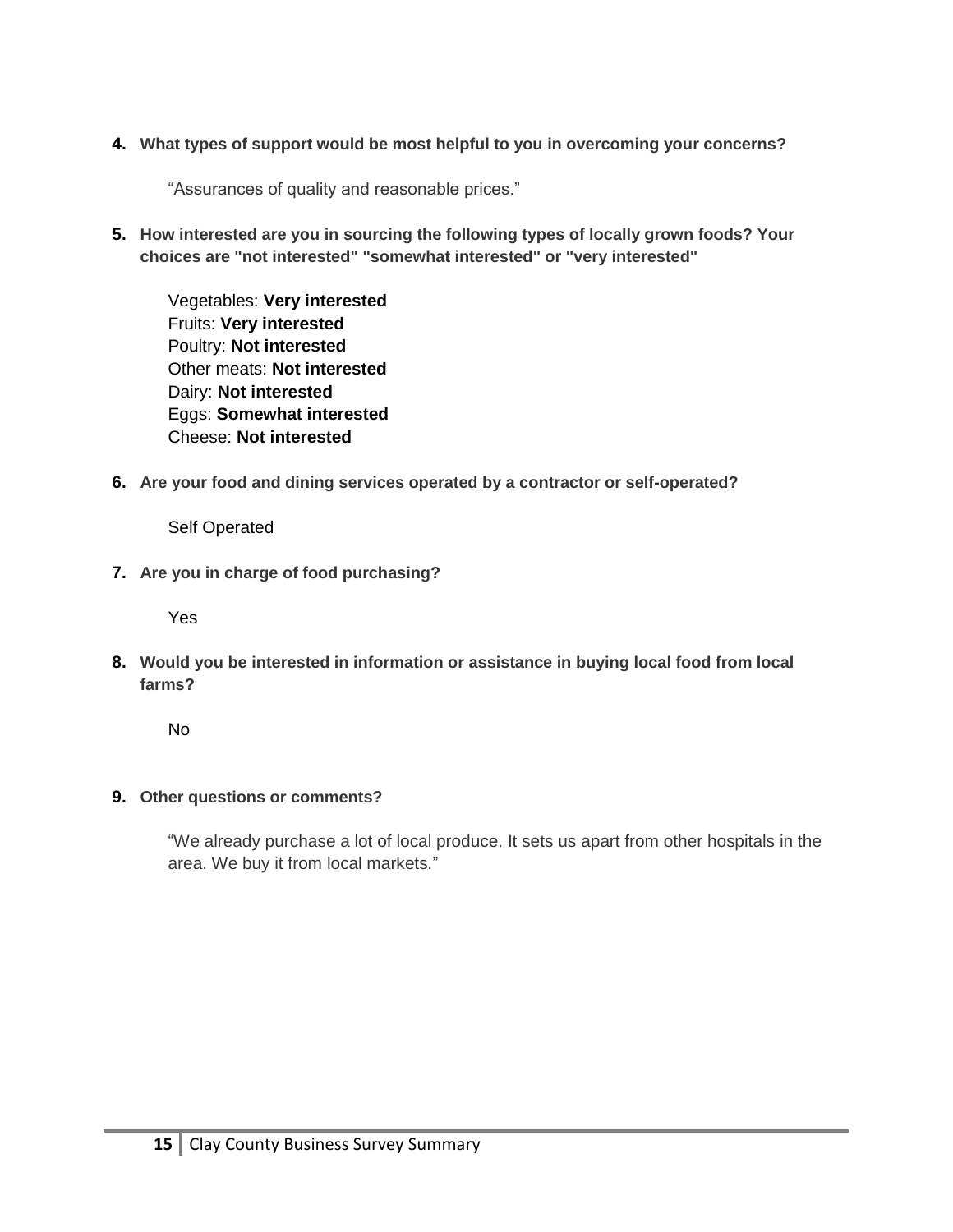locally-grown food per year. Sixty percent of residents reported purchasing locally-grown food on a weekly basis with the majority of those purchases occurring at farms or farm stands, followed by grocery store purchases, and farmers market purchases. Compared to other residents of Western North Carolina, Clay County residents report they are more likely to grow their own food for home consumption (62% of Clay County residents compared to 55% of WNC residents).

The top three factors motivating Clay County residents to purchase locally-grown foods are supporting the local economy, supporting local farms, and preserving the rural character of the region. Survey participants further cited the freshness of local food as a key motivator for purchasing a local product over a non-local product. Overall, though Clay County survey participants routinely purchase local foods and support establishments that sell or produce local foods, they indicated a lack of advertising and awareness of local products in their area compared to other residents of Western North Carolina.

# **7. Local Production**

 $\overline{a}$ 

There is an upper limit to the amount of produce consumers and businesses can purchase from regional growers based on climate and soil related limitations. Local farmers could not supply 100% of produce to local buyers because they cannot grow avocados, lemons, or bananas, for example, no matter how much local food infrastructure is improved. They can, however, grow each of 42 different types of fruits and vegetables that accounted for 75.7% of produce sales in retail outlets nationwide in 2010. In Table 9 these 42 items are listed along with their corresponding share of total retail produce sales.

Farmers can grow all of the items listed in Table 9, but some are limited to the months of the summer season and others to the winter season. Some items, like apples, can be supplied to local markets for more than six months of the year and others for less. Based on Western North Carolina's regional produce availability calendar, on average local farmers can grow 75.7% of the area's most popular retail produce items for 50 percent of the year, and therefore supply 38% of the total yearly produce purchases of residents (75.7% x 50% = 38%). Taking these variations into account, 38% represents a reasonable adjustment for the seasonality of production.<sup>32</sup>

 $32$  The calculation of seasonality is based on the average growth season length for all fruits and vegetables in Table 9.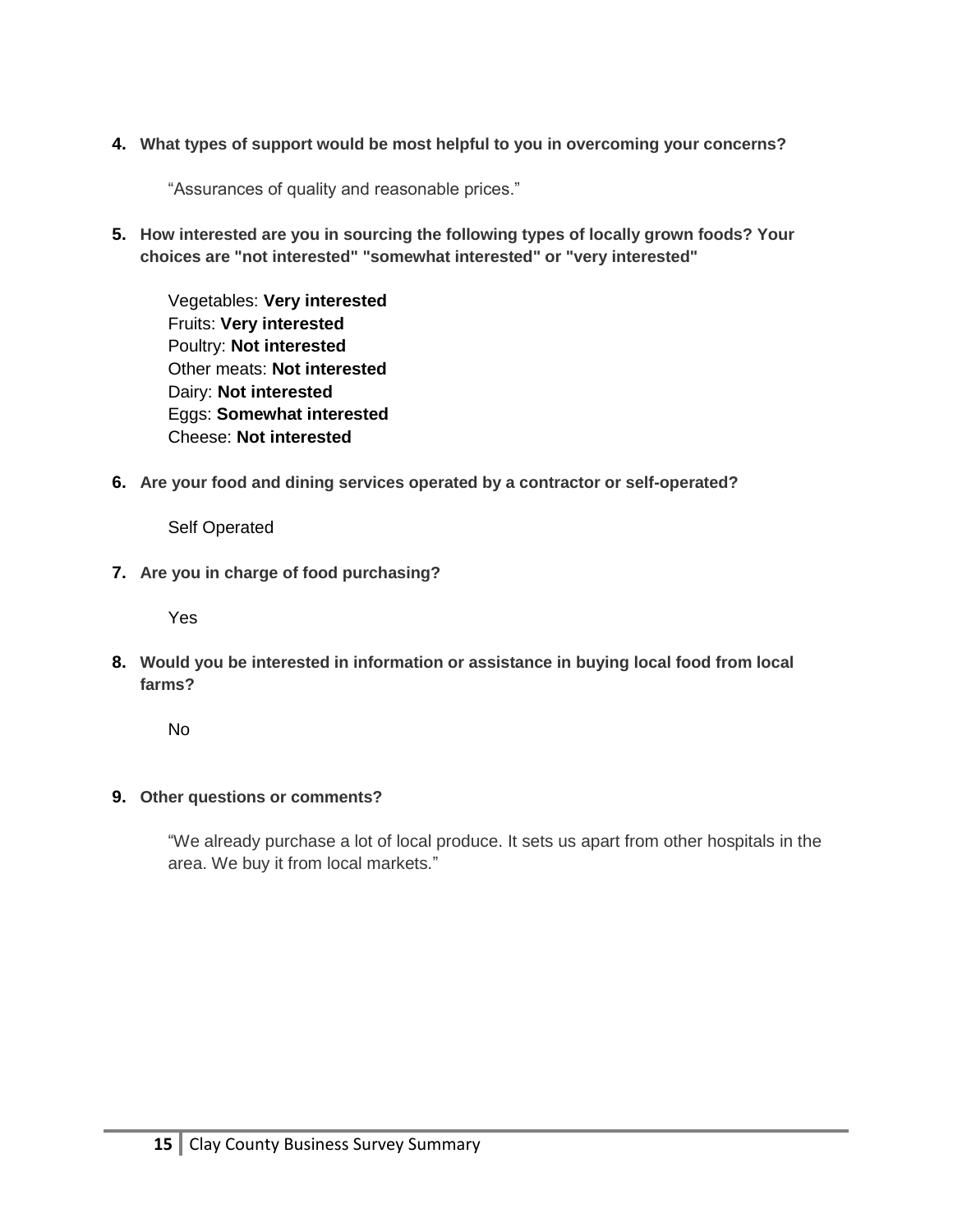| Table 9: Dollar Share of Retail Produce Sales for Selected Fruits and Vegetables |                                                                                                 |                   |                      |                       |                      |  |
|----------------------------------------------------------------------------------|-------------------------------------------------------------------------------------------------|-------------------|----------------------|-----------------------|----------------------|--|
| <b>Fruits</b>                                                                    | % of Total                                                                                      | <b>Vegetables</b> | % of Total           | <b>Vegetables</b>     | % of Total           |  |
|                                                                                  | <b>Produce Sales</b>                                                                            |                   | <b>Produce Sales</b> | (Continued)           | <b>Produce Sales</b> |  |
|                                                                                  | in year                                                                                         |                   | in year              |                       | in year              |  |
| Apples                                                                           | 7.1%                                                                                            | Asparagus         | 1.4%                 | Leeks                 | 0.1%                 |  |
| <b>Berries</b>                                                                   | 2.8%                                                                                            | <b>Beans</b>      | 0.8%                 | Mushrooms             | 2.2%                 |  |
| Cantaloupe                                                                       | 1.7%                                                                                            | <b>Beets</b>      | 0.1%                 | Onion                 | 4.3%                 |  |
| Cherries                                                                         | 1.9%                                                                                            | <b>Broccoli</b>   | 1.7%                 | Lettuce               | 2.2%                 |  |
| Grapes                                                                           | 6.4%                                                                                            | Cabbage           | 0.7%                 | Peas                  | 0.3%                 |  |
| <b>Nectarines</b>                                                                | 0.8%                                                                                            | Carrots           | 2.5%                 | Peppers (Bell)        | 2.6%                 |  |
| <b>Melons</b>                                                                    | 0.7%                                                                                            | Cauliflower       | 0.6%                 | Potatoes              | 5.7%                 |  |
| Peaches                                                                          | 1.2%                                                                                            | Celery            | 1.5%                 | Pumpkins              | 0.2%                 |  |
| Pears                                                                            | 1.1%                                                                                            | Corn              | 1.2%                 | Radishes              | 0.2%                 |  |
|                                                                                  |                                                                                                 | (Sweet)           |                      |                       |                      |  |
| Plums                                                                            | 0.6%                                                                                            | Cucumbers         | 1.7%                 | Romaine               | 1.1%                 |  |
| <b>Strawberries</b>                                                              | 4.9%                                                                                            | Eggplant          | 0.2%                 | Spinach               | 0.6%                 |  |
| Watermelon                                                                       | 2.4%                                                                                            | Garlic            | 0.5%                 | Sprouts               | 0.1%                 |  |
|                                                                                  |                                                                                                 | Green             | 0.5%                 | Squash                | 1.4%                 |  |
|                                                                                  |                                                                                                 | Onion             |                      |                       |                      |  |
|                                                                                  |                                                                                                 | Greens            | 0.3%                 | <b>Sweet Potatoes</b> | 1.0%                 |  |
|                                                                                  |                                                                                                 | Herbs             | 1.0%                 | Tomatoes              | 7.5%                 |  |
|                                                                                  |                                                                                                 |                   |                      |                       |                      |  |
| Column                                                                           | 31.6%                                                                                           |                   | 14.7%                |                       | 29.4%                |  |
| <b>Totals</b>                                                                    |                                                                                                 |                   |                      |                       |                      |  |
|                                                                                  | Total share of produce accounted for by fruits & vegetables that can be grown in the six-county |                   |                      |                       |                      |  |
| area: 75.7%                                                                      |                                                                                                 |                   |                      |                       |                      |  |

#### Section 1. Summary of Local Market Potential for Locally-Grown Foods

This section calculates potential local food spending based on six-county consumption figures. A local potential spending figure assumes significant improvements to infrastructure and distribution systems for locally grown produce in addition to changes in tastes and preferences so that all residents in the six-county area choose to purchase local food when it is available. Though this figure takes into account the growing season of local produce, it still assumes the use of practices like extending growing seasons, greenhouse production, and improved storage and processing techniques to maximize production potential and meet local demand. These projections are grounded in measured consumption and production figures for the region.

Table 10 below shows potential retail spending on local produce and meat based on six-county consumption figures. The potential local retail spending figure of \$4.6 million represents the economic impact to the region if local farms were to supply all of the meat and produce needs of the six-county area during their specified growing seasons.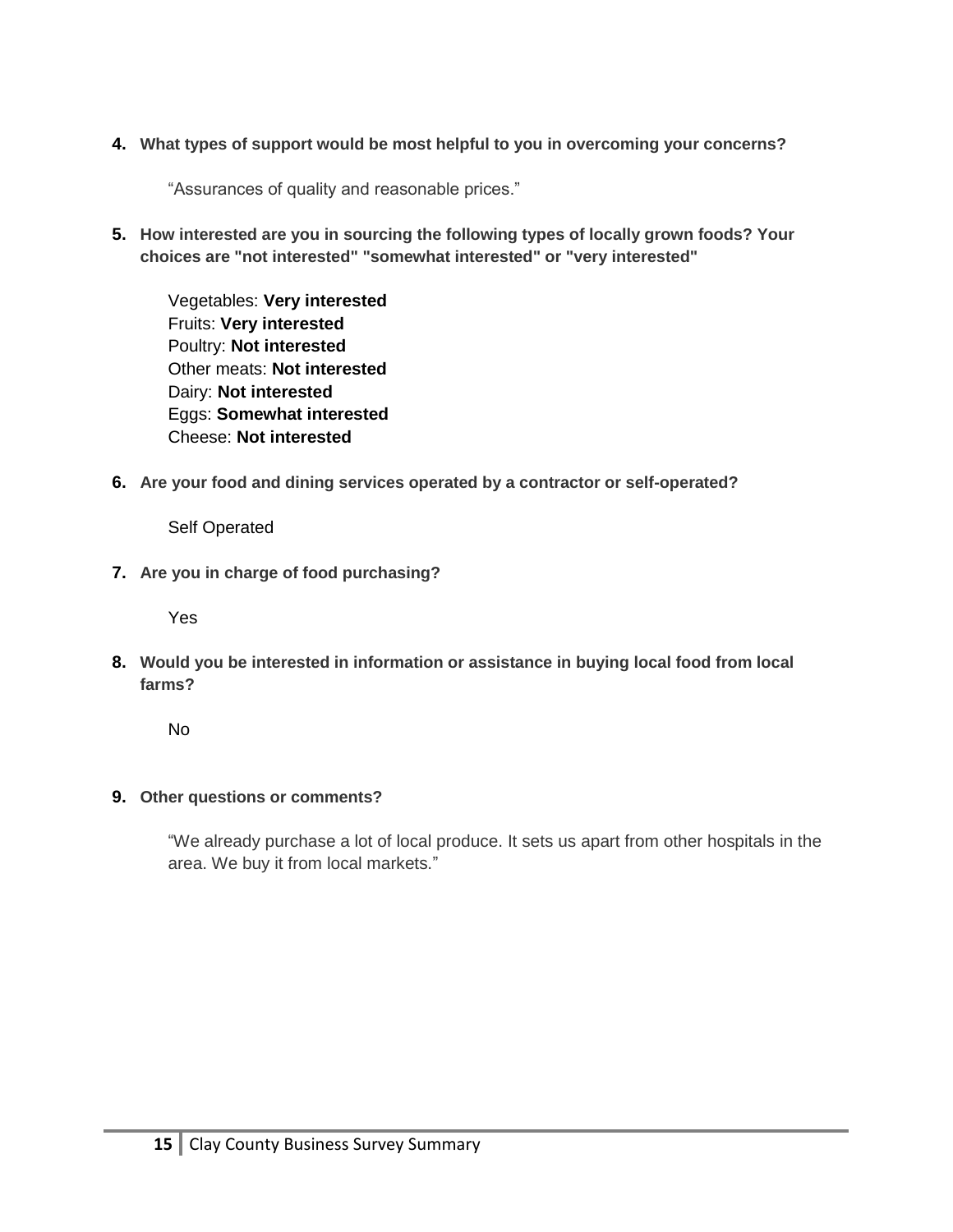# *Potential Local Spending for Fruits and Vegetables*

Potential local spending for fruits and vegetables of \$3,670,700 is calculated as total consumption multiplied by the average retail price per pound for each of 42 selected types of fruits and vegetables multiplied by the 38% seasonality multiplier. It is equal to the potential yearly local retail spending for the selected 42 fruits and vegetables grown in the region.  $(28,490,288$  lbs of produce x \$/lb for each type of produce x 38% seasonality multiplier = \$3,670,700 spending).

## *Potential Local Spending for Meat*

 $\overline{a}$ 

Potential local spending for meat (beef, chicken, pork, turkey) of \$967,500 is calculated as total consumption of beef, chicken, pork, and turkey in the six-county area multiplied by the average retail price per pound of each meat, or \$96,750,200. Local meats represent approximately 1% of this total.<sup>33</sup> \$967,500 represents the spending potential for locally raised meat in the region.  $(30,503,183$ lbs of meat consumed x  $1/b$  for each type of meat x  $1\% = $967,500$ spending).

| Table 10: Potential Retail Spending for Produce and Meats in six-county Area |                                         |                                        |                                           |
|------------------------------------------------------------------------------|-----------------------------------------|----------------------------------------|-------------------------------------------|
|                                                                              | <b>Total Consumption</b><br>(lbs.) 2009 | <b>Total Retail</b><br><b>Spending</b> | <b>Potential Local</b><br><b>Spending</b> |
| <b>Fresh Fruits &amp;</b><br>Vegetables <sup>34</sup>                        | 28,490,288                              | \$9,659,800                            | \$3,670,700                               |
| Meats (beef,<br>chicken, pork,<br>turkey) $35$                               | 30,503,183                              | \$96,750,200                           | \$967,500                                 |
| <b>Total Retail Spending: \$106.4 million</b>                                |                                         |                                        |                                           |
| <b>Potential Local Spending: \$4.6 million</b>                               |                                         |                                        |                                           |

Source: The figures in the table are based on a series of calculations combining data from the 2007 Census of Agriculture the ERS/USDA Data Food Availability (Per Capita) Data System: Food Guide Pyramid, and The Packer which provided the 2010 average price per pound for produce.

 $33$  Large corporate livestock and poultry operations in the region are not likely to convert their production to support local market sales. Instead, smaller operations with greater infrastructure flexibility will be the target producers to supply local markets. According to a report published by the USDA the percent of livestock operations that tend to target direct markets is about 1%. *Small Scale US Cow-calf Operations,* April 2011. USDA, Animal and Plant Health Inspection Service, Veterinary Services, National Animal Health Monitoring System.

<sup>&</sup>lt;sup>34</sup> Estimates are based on the calculations presented in Table 5 and come from the ERS/USDA Data Food Availability (Per Capita) Data System: Food Guide Pyramid and USDA Census of Agriculture, 2007.  $35$  Ibid.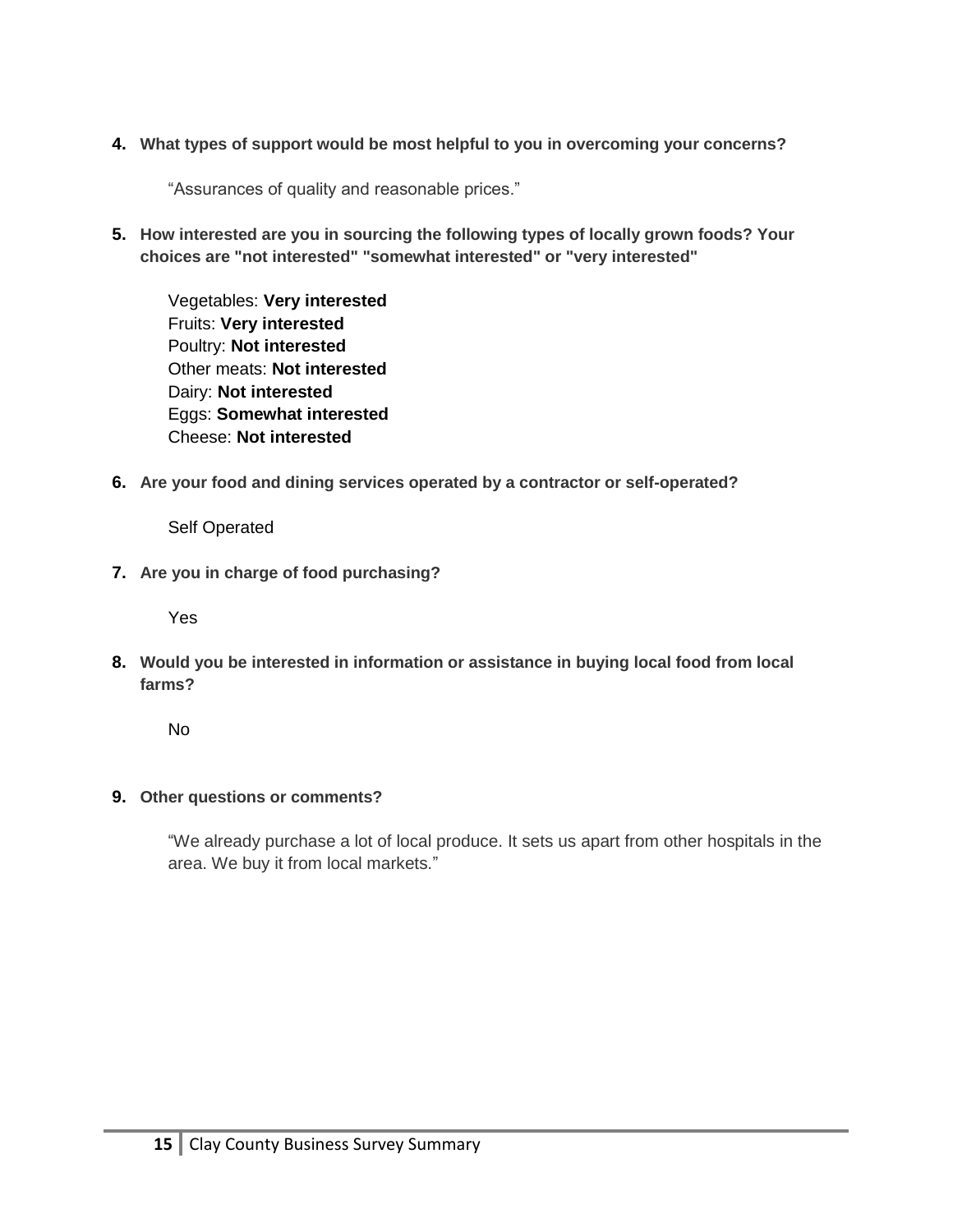## *Combined Spending Potential*

An important note about local potential spending detailed in this section is that there are significant types of infrastructure improvements needed to achieve these dollar figures. For example, moving fresh produce from farm to market may require refrigerated trucks and storage facilities; moving meat from farm to market will require those things plus facilities for processing. To achieve maximum access to the 42 fruits and vegetables, creative innovations will need to be instituted like extending crop seasons, developing storage techniques, and utilizing alternative indoor growing methods. The \$4.6 million figure should be regarded as a long-term goal linked to substantial changes in local food production and distribution systems plus increased spending linked to increased interest in local food.

# *The Multiplier Effect*

The local multiplier effect (LME) is a term first used by economist John Maynard Keynes in his 1936 book *The General Theory of Employment, Interest, and Money* to describe the way that dollars are recirculated within a local economy before leaving through the purchase of an import. According to the theory, consumer spending on local farm products generates a greater economic return than spending at corporate chains as farmers re-spend the money on products and services in their community.

There are many factors which influence the number of times dollars are thought to recirculate, but LME's are commonly reported to range from 1.5 to 3.0. If the six-county region were to reach \$4.6 million in local food spending, by LME theory the total economic impact would be between \$6.9 million and \$13.8 million.

# **8. Bridging the Gap between Demand and Supply**

The gap refers to the fact that there is more potential and real demand than supply for many types of food produced in the Clay County region and that many consumers, businesses, and organizations indicate a desire for more locally-grown food than they can currently buy. Supply, in this case, includes all facets of food procurement and distribution including issues involving equipment, facilities, and processes for moving food from farm to market. This chapter draws on research and information presented throughout the report to generate recommendations and make conclusions about bridging the gap between demand and supply of locally-grown food in the Clay County region.

The following recommendations reflect an underlying assumption that the local food system will change incrementally over many years; aiming for maximum potential will require a long-term perspective. Each recommendation is intended to provide insight into current opportunities for supporting and advancing the local food system, as well as recommendations for points of action.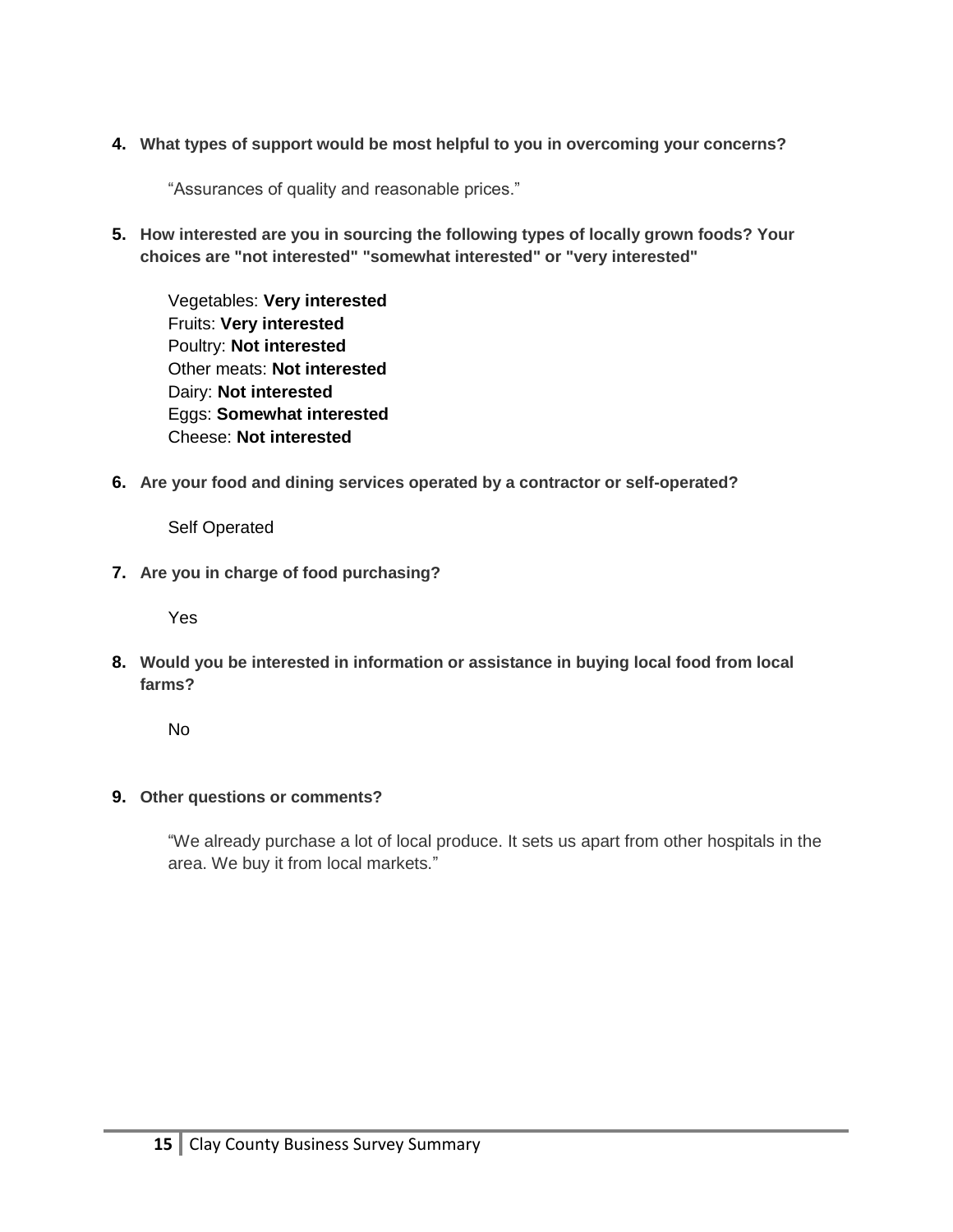## Section 1. Recommendations

# *Promote Clay County farms and food*

With increased interest by consumers in supporting local farms and buying local food, it is vital that consumers know where to find local food across direct, retail, and institutional market settings. Demand for local can only be realized if consumers can find and identify local products. In the consumer survey of Clay County residents 60 percent of respondents indicated that local food is a very important consideration to them when choosing a restaurant and 75 percent indicated that it was important when choosing a grocery store.

Next Steps: Promote what is being grown in the area and where it is being sold. Promote direct to consumer markets – Community Supported Agriculture (CSAs), farmers markets, farm stands. Identify restaurants, grocery stores, and other non-direct market outlets sourcing and selling locally grown food. Help them to promote their efforts to their customers and to the wider community. In the context of increasing interest and demand, marketing and promotion of locally grown through advertisements, in-store promotional materials, packaging and labeling, and other forms of promotion is a critical element. Publicize food and farm events: food festivals and farm tours. Distribute the Local Food Guide as a centralized source of information on how to access food from local farms. Work to develop a library of photographs and information about Clay County agriculture to share with local businesses, the media, and schools. Provide your local visitor center with materials – Local Food Guides, rack cards, farm profiles, etc – to promote farms and farm experiences to visitors. Partner with groups such as ASAP, Farm Bureau, FFA, Cooperative extension, grower associations, 4-H, and others to promote farms and stay updated on community activities.

#### *Promote and support direct-to-consumer outlets*

Direct markets provide the highest return to farmers in comparison to other markets. They provide an easy entry point for farmers new to marketing because of the minimal cost required for entry, and in providing a direct connection between consumer and farmer, they cultivate customer loyalty and advocacy for local farms and food. ASAP surveys of farmers market shoppers demonstrate that markets are supported by an expanding base of repeat customers who shop there not just for food but for the experience of interacting directly with the people that grow their food and for a sense of community. Between 2002 and 2010, the number of farmers markets and CSAs in the Southern Appalachian region has increased 80 percent. This growth echoes the data from the 2007 Agricultural Census, which shows a 49 percent increase in direct food sales from \$812 million in 2002 to \$1.2 billion in 2007.

Next Steps: Provide support to direct-to-consumer markets in the Clay County region. Support might be in the form of the promotion of existing direct-to-consumer outlets—farmers markets, CSAs, on-farm stores and stands; assistance with the expansion of outlets; and/or workshops and training for farmers on relevant topics—salesmanship and display, best food safety practices, food regulation, marketing and promotion, etc. Utilize the resources and trainings ASAP offers to farmers selling direct to consumers. ASAP's annual Marketing Conference offers a direct marketing track with resources and tools for farmers operating CSAs and selling at farmers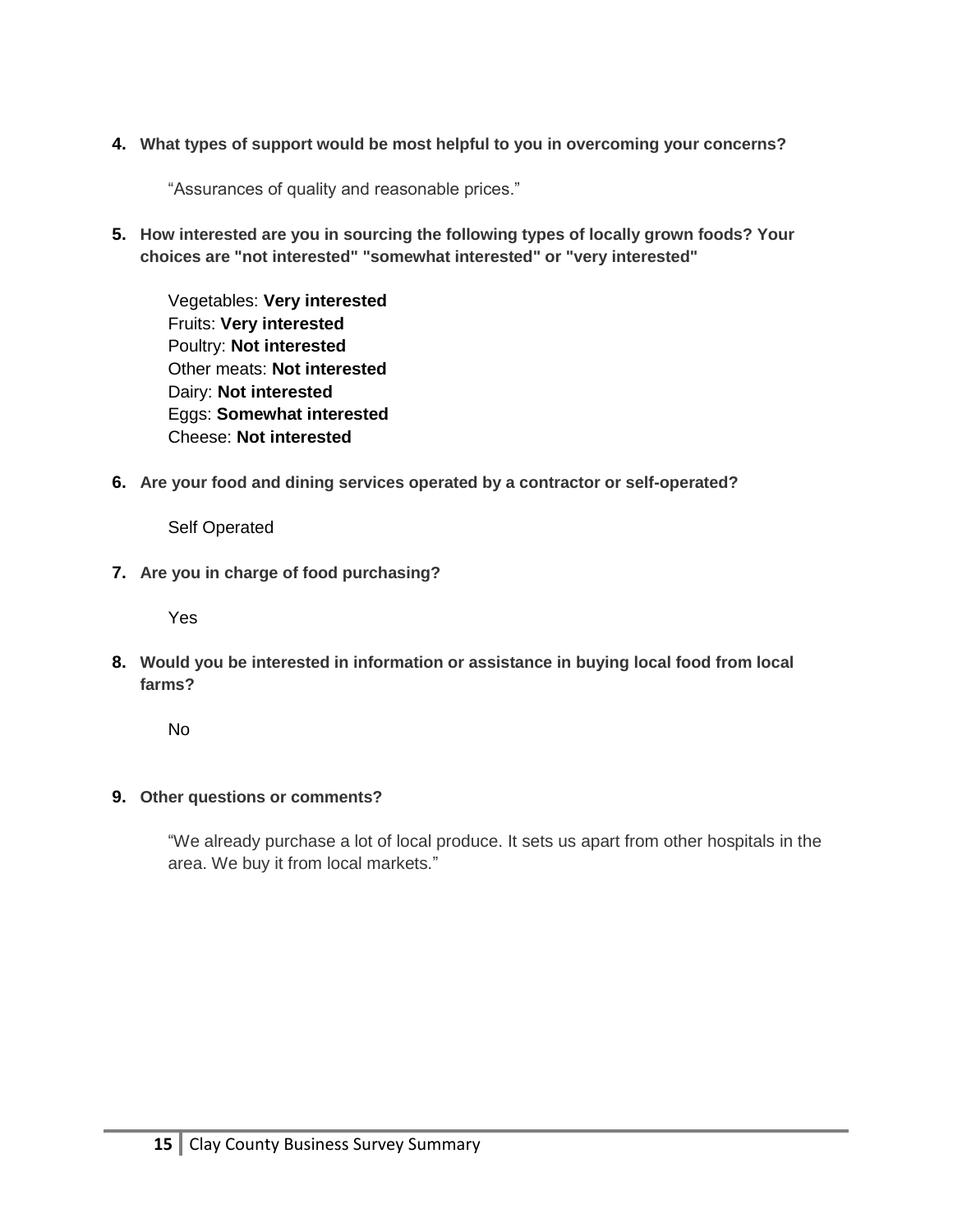markets. ASAP is also developing a CSA Toolkit and Farmers Market Toolkit, which will be available to download from the website [\(www.asapconnections.org\)](http://www.asapconnections.org/).

## *Develop a local branding label*

ASAP's consumer research in Western North Carolina shows the importance of local labeling. Labeling is crucial because it allows consumers to act on their preference for locally-grown food and it allows any price premiums associated with local food to accrue to producers. Local branding is a way to add value to local farm products and provide farmers with a means to increase their marketing power. ASAP's Appalachian Grown™ regional branding and certification program provides farms in the Southern Appalachians with a means to enhance the visibility of their products in the region's local markets and accordingly, their ability to compete more effectively. ASAP's Appalachian Grown region includes Clay County as well as all of the counties in the six-county area.

Next Steps: Utilize ASAP's existing Appalachian Grown regional branding program. Work with ASAP staff to develop an Appalachian Grown – Clay County or Far West co-brand. In 2006, ASAP launched the Appalachian Grown branding program to identify products from local farms and to protect the integrity of the local market. Since 2007(the first full year of the program) participation has increased by over 60 percent. To date, 500 farms and over 200 individual businesses are certified and participating in the program. Sales of Appalachian Grown certified products increased from \$15 million in 2007 to over \$45 million in 2010. An Appalachian Grown – Clay County or Far West co-brand will leverage the resources of ASAP's existing program and increase the visibility and competitiveness of farm products grown in the Clay County region. ASAP's extensive network of certified retailers have the potential to leverage new markets.

#### *Dedicate staffing time toward the development of local markets for Clay County farms*

The development of Clay County's and the far west's local food and farm economy will require dedicated time and resources. Establish dedicated staff time or personnel focused on developing local markets and furthering the recommendations in this assessment as well the Clay County Farmland Preservation Plan.

Next steps: Develop the requirements and duties of a paid staff position. Similar positions in other counties in the region are often housed within the county Economic Development office. Dedicating staff time in the Economic Development office recognizes the importance of farms and local food to the economy of the county. Search for funding for initial support of staff time from granters such as the GoldenLEAF Foundation and the WNC Community Foundation.

#### *Provide training and support to Clay County farmers*

To access the opportunities in local markets successfully, farmers need a combination of skills, resources, and support in multiple areas. Farmers need training and expertise in business and market planning to effectively diversify their farm businesses and market their farm products locally. Farmers need to understand industry standards for different types of local market outlets: packaging, labeling, food safety requirements, distribution, quality standards, traceback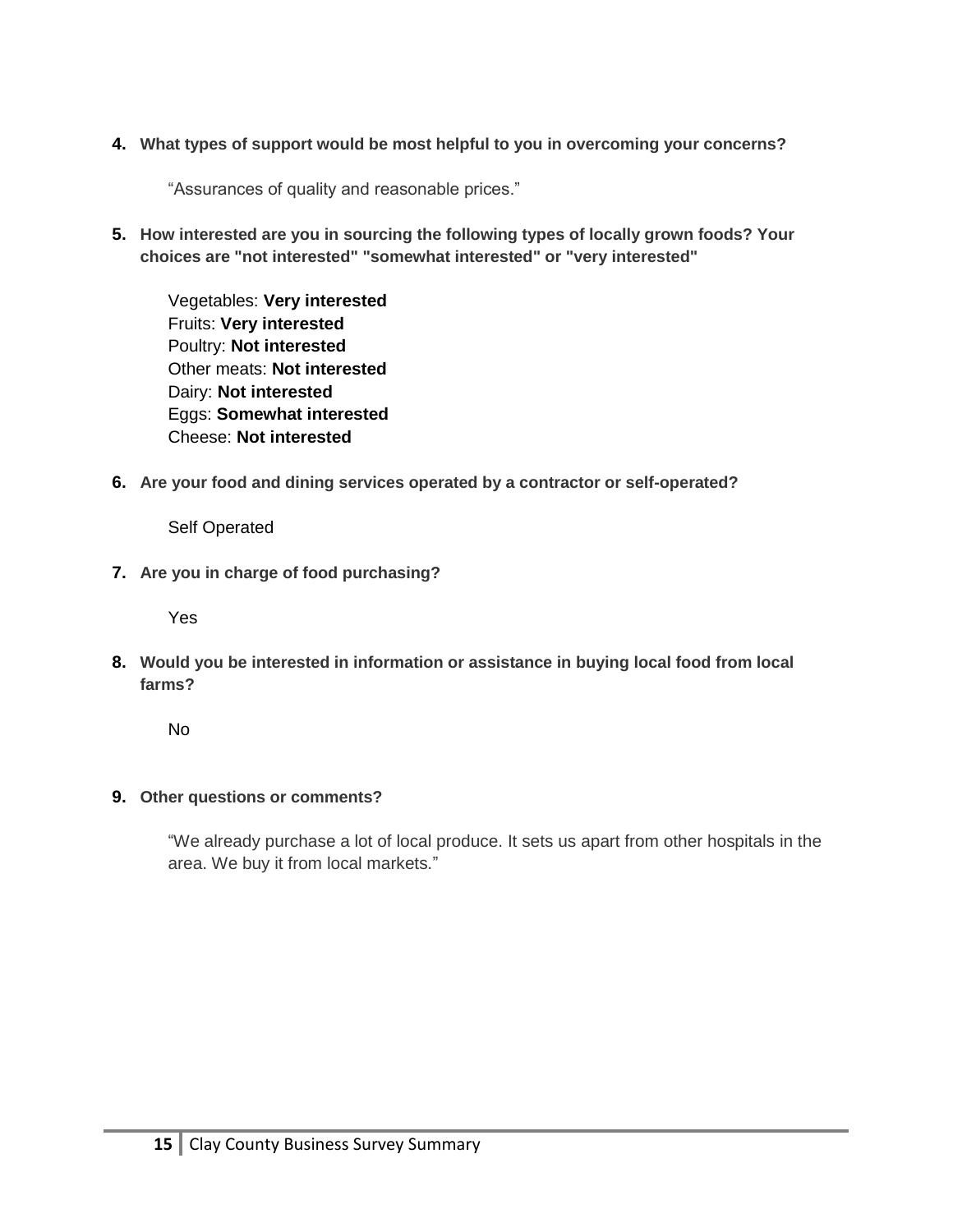standards, etc. Furthermore, farmers need assistance determining what types of market outlets are a good match for the capacity of their farm. For retail and institutional outlets in particular, farmers need assistance developing relationships with buyers and information specific to market requirements and desires. This combination of assistance provides farmers with the support needed to make decisions and implement practices based on careful planning. Decisions based in planning reduce risk and increase the likelihood that strategies are successful. Successful farmers attract new farmers into the market outlets.

Next Steps: Provide Clay County farmers with training and technical assistance opportunities. Access existing resources and opportunities in the region. Partner with local community colleges, Cooperative Extension, and other community organizations and agencies to conduct and support training and technical assistance workshops. ASAP's annual Marketing Conference includes workshops on key risk management strategies in retail, wholesale, and direct to consumer market outlets, QuickBooks and farm financial recordkeeping for farms, food safety, farm business planning, and more.

#### *Highlight and develop connections between farms and restaurants*

When diners learn that food on their plates comes from a nearby place—a farm and a farmer with a name and a face—it gives the meal and the visit more meaning. The Far West has a growing independent restaurant sector and increasing interest by chefs and restaurant owners in sourcing fresh, local food. The Clay County consumer survey shows that local food is a very important consideration when choosing a restaurant.

**Next Steps:** Efforts focused on deepening connections between local farms and restaurants might include a farm to chef promotional campaign using ASAP's Appalachian Grown branding and Get Local marketing materials, organizing farm fieldtrips for chefs and foodservice and farmer-buyer meetings, and expanding ASAP's Mixing Bowl farm-to-chef trade directory to include Clay County farms and businesses. The combination of these activities will simultaneously connect local farms to this market sector, increase the visibility of local food in the community and build awareness, and provide farmers and chefs with practical information about how to build business relationships that last.

ASAP's Get Local program highlights one seasonally available product a month. Participating restaurants feature that product in seasonal dishes. The program provides a way to promote restaurants already supporting local farms and a means for restaurants interested in sourcing local an easy way to begin. Farm fieldtrips provide chefs with opportunities to experience Clay County agriculture firsthand and farms with opportunities to develop new business relationships. Farmer-buyers meetings also create a venue for chefs and farmers to develop relationships and discuss specific market and farm needs and requirements. The Mixing Bowl, a farm to business trade directory, provides a practical means for farms to market their products and for restaurants to source local ingredients and advertise the local products they are interested in finding. Furthermore, the directory provides farmers and food businesses with the means to post business requirements and mitigate potential misunderstandings and frustrations. For example, chefs post product volume, delivery, and the vendor approval process; farmers post the minimum order required, their distribution area, and production practices.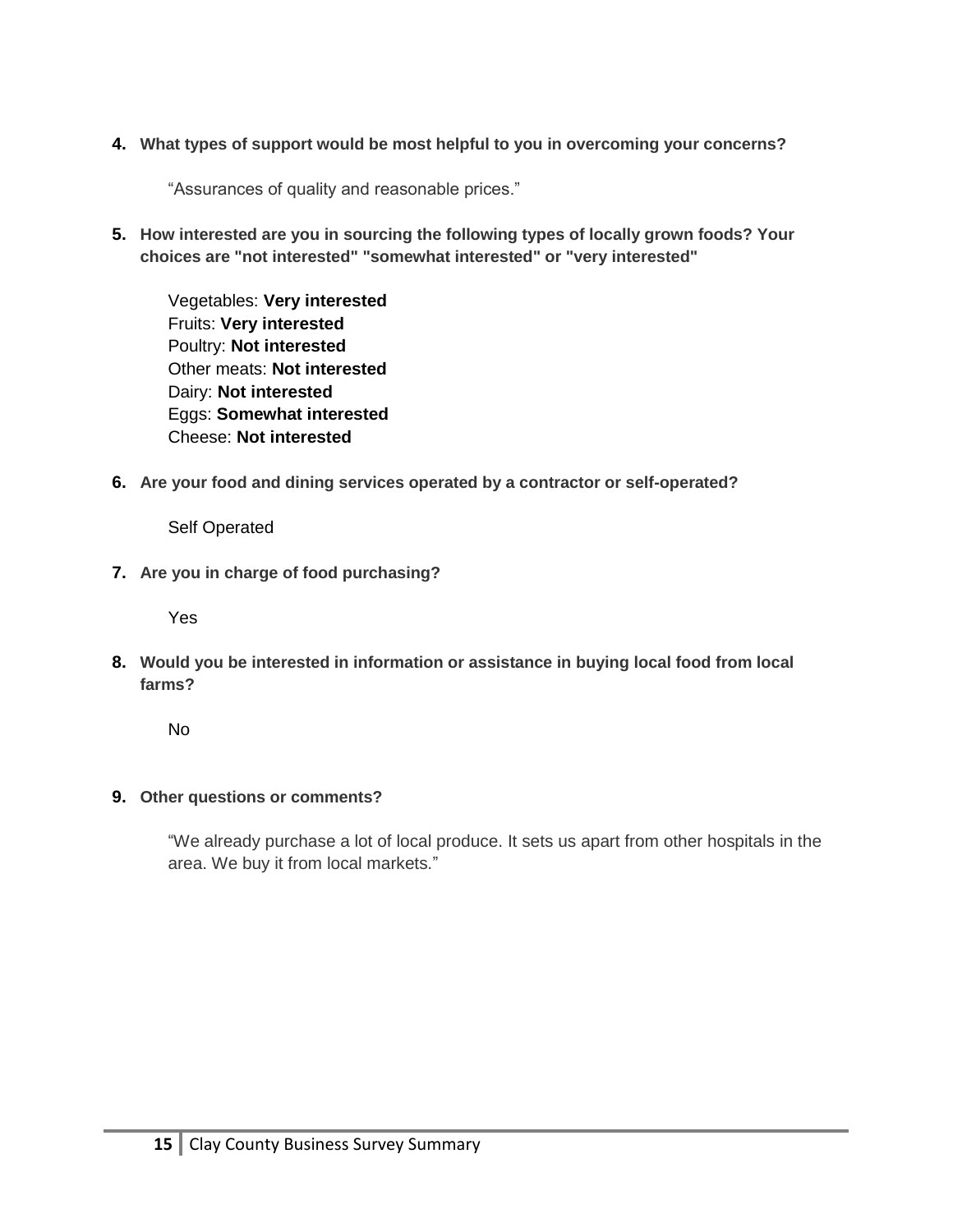# *Explore the viability of larger scale retail and institutional market outlets*

As a market venue for farmers, larger retail and institutional markets should be part of an overall strategy of market diversification and growth. Large markets can not only be difficult for farms to access because of specific institutional and infrastructure requirements, they can be less profitable to individual farms because often there is a middleman involved.

There is a practical limit to how much food can be sold through direct market outlets; the largest share of consumers' food spending will continue to be in grocery stores. Western North Carolina has several grocery store chains with local food purchasing programs. Equipped with the knowledge of market standards and desires, these larger scale outlets provide Clay County farms with potential marketing options.

Clay County has an Ingles store, one store in the Ingles Market chain that is headquartered in Buncombe County NC. Ingles was not included in the business survey because ASAP is already aware of their local purchasing policies and requirements. There are opportunities for Clay County farmers with the Clay County Ingles store. If a farmer is identified who wants to sell to Ingles and can meet the Ingles requirements, ASAP can make introductions and provide promotional materials.

With the growth of the local food movement, there has also been increasing interest by institutions, schools, hospitals, and colleges, in providing fresh, local options to students, staff, patients, and employees. Institutional market settings like schools and hospitals provide opportunities to highlight the connections between food, food access, and health; nurture healthy eating habits in kids and families; and over the long term build support and appreciation for local farms and food. Moreover, schools and hospitals, because they reach broad constituencies and reach across socioeconomic and other cultural lines, provide opportunities to increase the distribution of fresh, local food to vulnerable children and families. Public schools in particular provide farms in rural settings with market options. Rural areas often lack sufficient market outlets but school systems exist in every county and have the potential to provide a steady market for farmers. All school districts in North Carolina are eligible to participate in the North Carolina Department of Agriculture's Farm to School program, which makes this statewide program the most accessible option for many county school districts. Information on the program and its requirements can be found on the NCDA Farm to School program website: [http://www.ncfarmtoschool.com/index.htm.](http://www.ncfarmtoschool.com/index.htm)

Next Steps: Facilitate linkages between Clay County farmers and targeted buyers—retailers, restaurants, summer camps, schools, colleges, hospitals. Outreach to buyers across market segments; begin to develop relationship with them and assess market desires and industry requirements for things like packaging and labeling, food safety certification, quality standards and traceback, product quantities and distribution. Meet with local farmers to assess the capacity of their operations and to direct them to suitable market outlets, and prepare them to meet industry standards. Utilize ASAP's farm outreach services that help to connect farms and markets. Work with retailers and institutions to identify what they already purchase from local farms. Develop targeted outreach and promotional efforts geared to each group of buyers, including models of success that can be replicated by different types of organizations.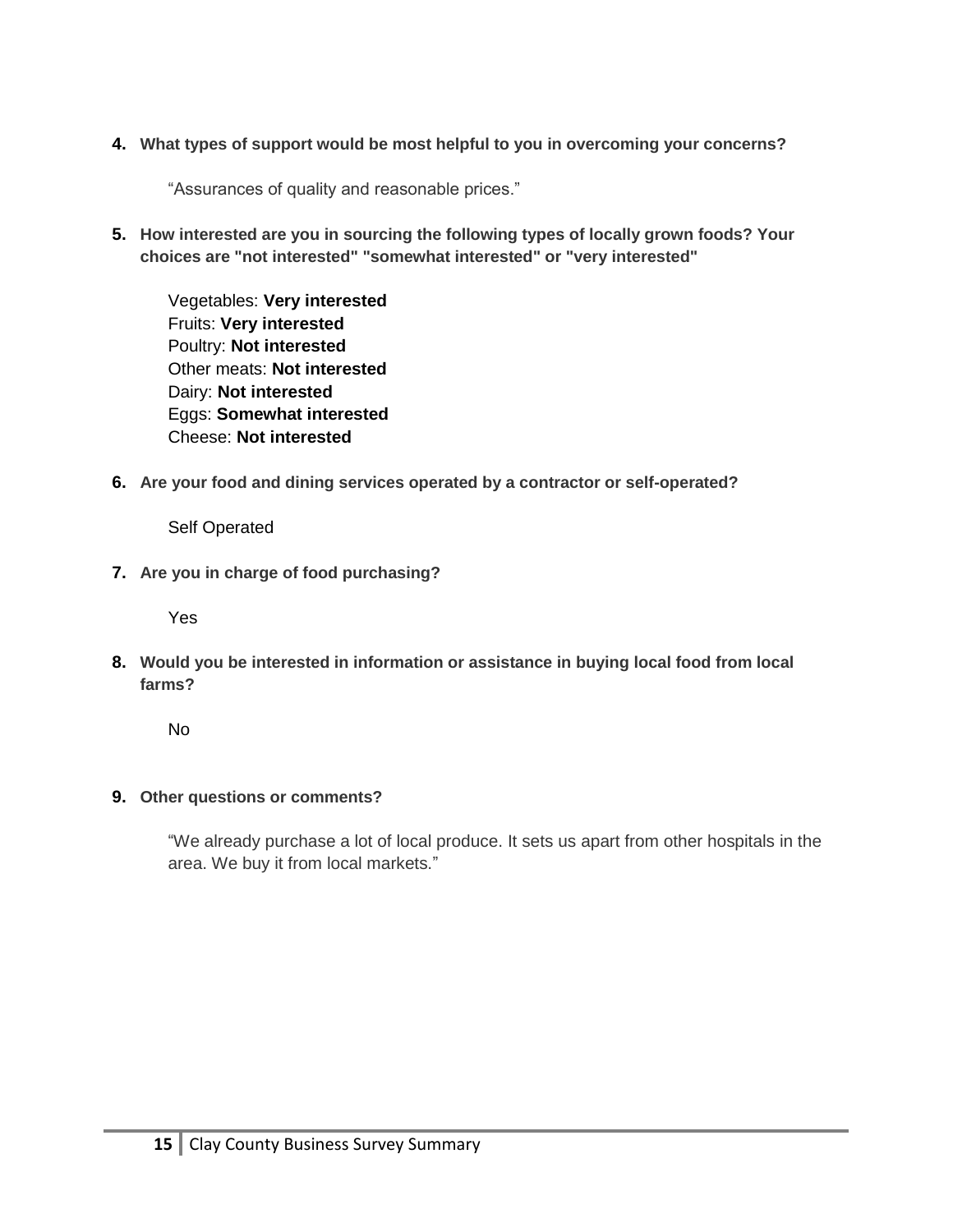The knowledge that you develop about the county's food system and the trust and relationships that you develop with buyers and farmers will play a crucial role in the region as demand and awareness continue to increase with local food campaign activities. Buyers will look to you for help finding suitable and reliable sources of local product.

## *Promote positive experiences around local food*

Taking a longer view of the development of the local food system, implement strategies in local food campaign activities in Clay County that promote positive experiences with local food and farms. Farm tours, food and farm festivals, meet the farm events, food tastings, farm to school and hospital programs provide participants with the means to engage with local farms in meaningful ways, cultivating an appreciation for this natural resource. Furthermore, research from the health sciences demonstrates that food habits and preferences are directly impacted by positive and negative experiences. Preferences for food develop in positive contexts and aversions to foods develop in negative contexts. Following, children and adults that have positive experiences with local farms and food develop an appreciation for local food and farms.

**Next Steps:** Organize food and farm events around Clay County farms like an annual farm tour or a downtown festival celebrating local farms and food. Organize special events at farmers markets that celebrate seasonal harvests and offer music and kids activities. Support and promote activities in hospital and schools settings that emphasize the experiential aspects of local farms and food: farm field trips, cooking demonstrations with seasonal ingredients, tastings, meet the farmer events, school gardens, etc.

These types of hands-on activities engage participants positively with local agriculture. Kids and adults participate in planting and harvesting activities, learn to cook with seasonal ingredients, learn about the cycles of agriculture and the seasonality of crops, meet farmers growing food in their communities, and try new fruits and vegetables. These types of positive experiences influence the formation of eating habits and preferences, create healthier individuals and communities, and develop local food and farm advocates.

# *Promote Clay County food and farms to tourists*

 $\overline{a}$ 

Tourism is a major economic driver in Clay County and generated an impact of \$11.23 million in 2010.<sup>36</sup> While promoting experiences that bring agriculture and tourism together—agritourism is not a new idea, an expanded notion of agritourism includes experiences with the region's agriculture that happen off-farm as well as on-farm. Off-farm connections might involve eating at a restaurant or staying at a Bed & Breakfast that features locally-grown food, attending a festival or event celebrating regional cuisine, going to a farmers market, or traveling a scenic trail through the region's farmland. These kinds of experiences are important because, while not all farms can welcome tourists to their farm for events and activities, all farms can benefit from the visibility and excitement generated.

<sup>&</sup>lt;sup>36</sup> North Carolina Department of Commerce 2011 Travel Economic Impact Model. [http://www.nccommerce.com/tourism/research/economic-impact/teim.](http://www.nccommerce.com/tourism/research/economic-impact/teim) (accessed September 2011).